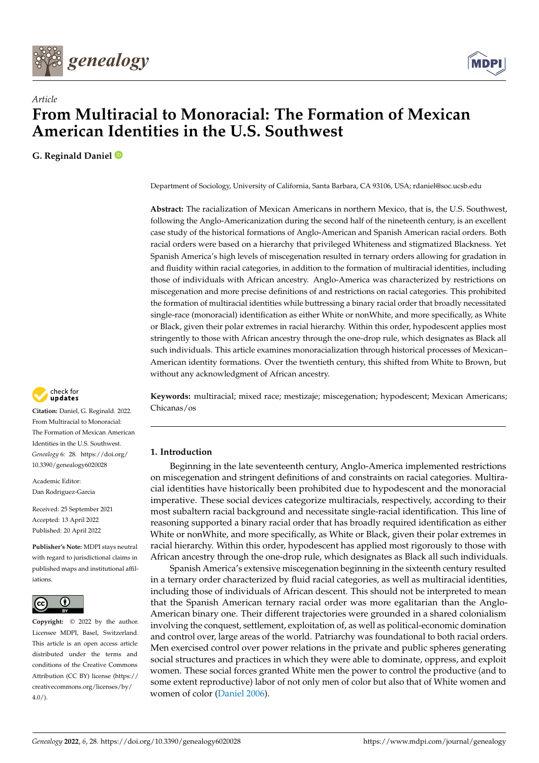



# *Article* **From Multiracial to Monoracial: The Formation of Mexican American Identities in the U.S. Southwest**

**G. Reginald Daniel**

Department of Sociology, University of California, Santa Barbara, CA 93106, USA; rdaniel@soc.ucsb.edu

**Abstract:** The racialization of Mexican Americans in northern Mexico, that is, the U.S. Southwest, following the Anglo-Americanization during the second half of the nineteenth century, is an excellent case study of the historical formations of Anglo-American and Spanish American racial orders. Both racial orders were based on a hierarchy that privileged Whiteness and stigmatized Blackness. Yet Spanish America's high levels of miscegenation resulted in ternary orders allowing for gradation in and fluidity within racial categories, in addition to the formation of multiracial identities, including those of individuals with African ancestry. Anglo-America was characterized by restrictions on miscegenation and more precise definitions of and restrictions on racial categories. This prohibited the formation of multiracial identities while buttressing a binary racial order that broadly necessitated single-race (monoracial) identification as either White or nonWhite, and more specifically, as White or Black, given their polar extremes in racial hierarchy. Within this order, hypodescent applies most stringently to those with African ancestry through the one-drop rule, which designates as Black all such individuals. This article examines monoracialization through historical processes of Mexican– American identity formations. Over the twentieth century, this shifted from White to Brown, but without any acknowledgment of African ancestry.

**Keywords:** multiracial; mixed race; mestizaje; miscegenation; hypodescent; Mexican Americans; Chicanas/os

## **1. Introduction**

Beginning in the late seventeenth century, Anglo-America implemented restrictions on miscegenation and stringent definitions of and constraints on racial categories. Multiracial identities have historically been prohibited due to hypodescent and the monoracial imperative. These social devices categorize multiracials, respectively, according to their most subaltern racial background and necessitate single-racial identification. This line of reasoning supported a binary racial order that has broadly required identification as either White or nonWhite, and more specifically, as White or Black, given their polar extremes in racial hierarchy. Within this order, hypodescent has applied most rigorously to those with African ancestry through the one-drop rule, which designates as Black all such individuals.

Spanish America's extensive miscegenation beginning in the sixteenth century resulted in a ternary order characterized by fluid racial categories, as well as multiracial identities, including those of individuals of African descent. This should not be interpreted to mean that the Spanish American ternary racial order was more egalitarian than the Anglo-American binary one. Their different trajectories were grounded in a shared colonialism involving the conquest, settlement, exploitation of, as well as political-economic domination and control over, large areas of the world. Patriarchy was foundational to both racial orders. Men exercised control over power relations in the private and public spheres generating social structures and practices in which they were able to dominate, oppress, and exploit women. These social forces granted White men the power to control the productive (and to some extent reproductive) labor of not only men of color but also that of White women and women of color [\(Daniel](#page-18-0) [2006\)](#page-18-0).



**Citation:** Daniel, G. Reginald. 2022. From Multiracial to Monoracial: The Formation of Mexican American Identities in the U.S. Southwest. *Genealogy* 6: 28. [https://doi.org/](https://doi.org/10.3390/genealogy6020028) [10.3390/genealogy6020028](https://doi.org/10.3390/genealogy6020028)

Academic Editor: Dan Rodriguez-Garcia

Received: 25 September 2021 Accepted: 13 April 2022 Published: 20 April 2022

**Publisher's Note:** MDPI stays neutral with regard to jurisdictional claims in published maps and institutional affiliations.



**Copyright:** © 2022 by the author. Licensee MDPI, Basel, Switzerland. This article is an open access article distributed under the terms and conditions of the Creative Commons Attribution (CC BY) license [\(https://](https://creativecommons.org/licenses/by/4.0/) [creativecommons.org/licenses/by/](https://creativecommons.org/licenses/by/4.0/)  $4.0/$ ).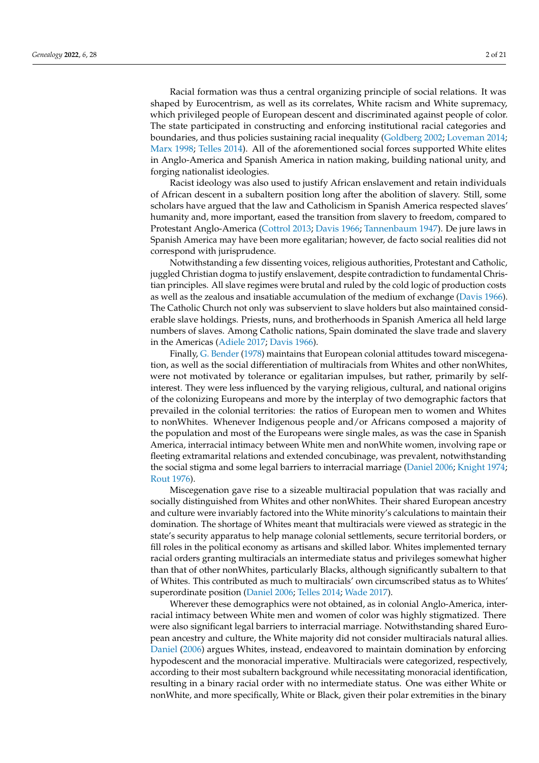Racial formation was thus a central organizing principle of social relations. It was shaped by Eurocentrism, as well as its correlates, White racism and White supremacy, which privileged people of European descent and discriminated against people of color. The state participated in constructing and enforcing institutional racial categories and boundaries, and thus policies sustaining racial inequality [\(Goldberg](#page-18-1) [2002;](#page-18-1) [Loveman](#page-19-0) [2014;](#page-19-0) [Marx](#page-19-1) [1998;](#page-19-1) [Telles](#page-20-0) [2014\)](#page-20-0). All of the aforementioned social forces supported White elites in Anglo-America and Spanish America in nation making, building national unity, and forging nationalist ideologies.

Racist ideology was also used to justify African enslavement and retain individuals of African descent in a subaltern position long after the abolition of slavery. Still, some scholars have argued that the law and Catholicism in Spanish America respected slaves' humanity and, more important, eased the transition from slavery to freedom, compared to Protestant Anglo-America [\(Cottrol](#page-18-2) [2013;](#page-18-2) [Davis](#page-18-3) [1966;](#page-18-3) [Tannenbaum](#page-20-1) [1947\)](#page-20-1). De jure laws in Spanish America may have been more egalitarian; however, de facto social realities did not correspond with jurisprudence.

Notwithstanding a few dissenting voices, religious authorities, Protestant and Catholic, juggled Christian dogma to justify enslavement, despite contradiction to fundamental Christian principles. All slave regimes were brutal and ruled by the cold logic of production costs as well as the zealous and insatiable accumulation of the medium of exchange [\(Davis](#page-18-3) [1966\)](#page-18-3). The Catholic Church not only was subservient to slave holders but also maintained considerable slave holdings. Priests, nuns, and brotherhoods in Spanish America all held large numbers of slaves. Among Catholic nations, Spain dominated the slave trade and slavery in the Americas [\(Adiele](#page-17-0) [2017;](#page-17-0) [Davis](#page-18-3) [1966\)](#page-18-3).

Finally, [G. Bender](#page-17-1) [\(1978\)](#page-17-1) maintains that European colonial attitudes toward miscegenation, as well as the social differentiation of multiracials from Whites and other nonWhites, were not motivated by tolerance or egalitarian impulses, but rather, primarily by selfinterest. They were less influenced by the varying religious, cultural, and national origins of the colonizing Europeans and more by the interplay of two demographic factors that prevailed in the colonial territories: the ratios of European men to women and Whites to nonWhites. Whenever Indigenous people and/or Africans composed a majority of the population and most of the Europeans were single males, as was the case in Spanish America, interracial intimacy between White men and nonWhite women, involving rape or fleeting extramarital relations and extended concubinage, was prevalent, notwithstanding the social stigma and some legal barriers to interracial marriage [\(Daniel](#page-18-0) [2006;](#page-18-0) [Knight](#page-19-2) [1974;](#page-19-2) [Rout](#page-20-2) [1976\)](#page-20-2).

Miscegenation gave rise to a sizeable multiracial population that was racially and socially distinguished from Whites and other nonWhites. Their shared European ancestry and culture were invariably factored into the White minority's calculations to maintain their domination. The shortage of Whites meant that multiracials were viewed as strategic in the state's security apparatus to help manage colonial settlements, secure territorial borders, or fill roles in the political economy as artisans and skilled labor. Whites implemented ternary racial orders granting multiracials an intermediate status and privileges somewhat higher than that of other nonWhites, particularly Blacks, although significantly subaltern to that of Whites. This contributed as much to multiracials' own circumscribed status as to Whites' superordinate position [\(Daniel](#page-18-0) [2006;](#page-18-0) [Telles](#page-20-0) [2014;](#page-20-0) [Wade](#page-20-3) [2017\)](#page-20-3).

Wherever these demographics were not obtained, as in colonial Anglo-America, interracial intimacy between White men and women of color was highly stigmatized. There were also significant legal barriers to interracial marriage. Notwithstanding shared European ancestry and culture, the White majority did not consider multiracials natural allies. [Daniel](#page-18-0) [\(2006\)](#page-18-0) argues Whites, instead, endeavored to maintain domination by enforcing hypodescent and the monoracial imperative. Multiracials were categorized, respectively, according to their most subaltern background while necessitating monoracial identification, resulting in a binary racial order with no intermediate status. One was either White or nonWhite, and more specifically, White or Black, given their polar extremities in the binary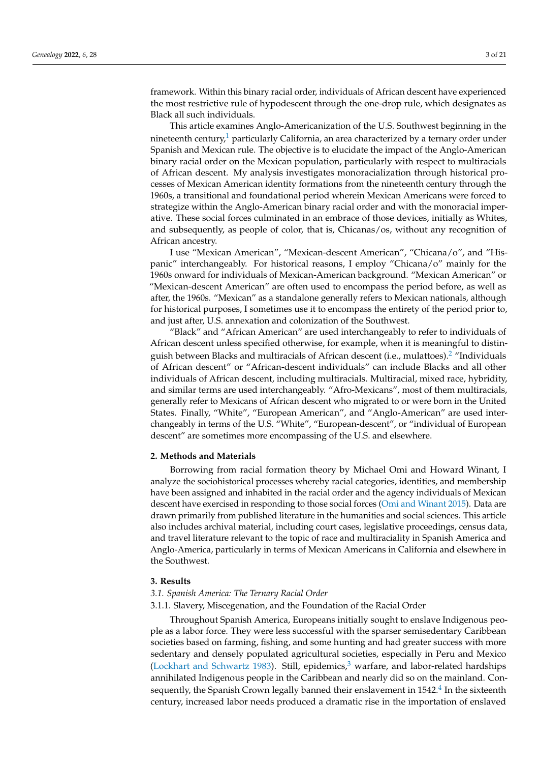framework. Within this binary racial order, individuals of African descent have experienced the most restrictive rule of hypodescent through the one-drop rule, which designates as Black all such individuals.

<span id="page-2-0"></span>This article examines Anglo-Americanization of the U.S. Southwest beginning in the nineteenth century,<sup>[1](#page-16-0)</sup> particularly California, an area characterized by a ternary order under Spanish and Mexican rule. The objective is to elucidate the impact of the Anglo-American binary racial order on the Mexican population, particularly with respect to multiracials of African descent. My analysis investigates monoracialization through historical processes of Mexican American identity formations from the nineteenth century through the 1960s, a transitional and foundational period wherein Mexican Americans were forced to strategize within the Anglo-American binary racial order and with the monoracial imperative. These social forces culminated in an embrace of those devices, initially as Whites, and subsequently, as people of color, that is, Chicanas/os, without any recognition of African ancestry.

I use "Mexican American", "Mexican-descent American", "Chicana/o", and "Hispanic" interchangeably. For historical reasons, I employ "Chicana/o" mainly for the 1960s onward for individuals of Mexican-American background. "Mexican American" or "Mexican-descent American" are often used to encompass the period before, as well as after, the 1960s. "Mexican" as a standalone generally refers to Mexican nationals, although for historical purposes, I sometimes use it to encompass the entirety of the period prior to, and just after, U.S. annexation and colonization of the Southwest.

<span id="page-2-1"></span>"Black" and "African American" are used interchangeably to refer to individuals of African descent unless specified otherwise, for example, when it is meaningful to distinguish between Blacks and multiracials of African descent (i.e., mulattoes).[2](#page-16-1) "Individuals of African descent" or "African-descent individuals" can include Blacks and all other individuals of African descent, including multiracials. Multiracial, mixed race, hybridity, and similar terms are used interchangeably. "Afro-Mexicans", most of them multiracials, generally refer to Mexicans of African descent who migrated to or were born in the United States. Finally, "White", "European American", and "Anglo-American" are used interchangeably in terms of the U.S. "White", "European-descent", or "individual of European descent" are sometimes more encompassing of the U.S. and elsewhere.

## **2. Methods and Materials**

Borrowing from racial formation theory by Michael Omi and Howard Winant, I analyze the sociohistorical processes whereby racial categories, identities, and membership have been assigned and inhabited in the racial order and the agency individuals of Mexican descent have exercised in responding to those social forces [\(Omi and Winant](#page-19-3) [2015\)](#page-19-3). Data are drawn primarily from published literature in the humanities and social sciences. This article also includes archival material, including court cases, legislative proceedings, census data, and travel literature relevant to the topic of race and multiraciality in Spanish America and Anglo-America, particularly in terms of Mexican Americans in California and elsewhere in the Southwest.

## **3. Results**

## *3.1. Spanish America: The Ternary Racial Order*

## 3.1.1. Slavery, Miscegenation, and the Foundation of the Racial Order

<span id="page-2-3"></span><span id="page-2-2"></span>Throughout Spanish America, Europeans initially sought to enslave Indigenous people as a labor force. They were less successful with the sparser semisedentary Caribbean societies based on farming, fishing, and some hunting and had greater success with more sedentary and densely populated agricultural societies, especially in Peru and Mexico [\(Lockhart and Schwartz](#page-19-4) [1983\)](#page-19-4). Still, epidemics, $3$  warfare, and labor-related hardships annihilated Indigenous people in the Caribbean and nearly did so on the mainland. Con-sequently, the Spanish Crown legally banned their enslavement in 15[4](#page-16-3)2. $^4$  In the sixteenth century, increased labor needs produced a dramatic rise in the importation of enslaved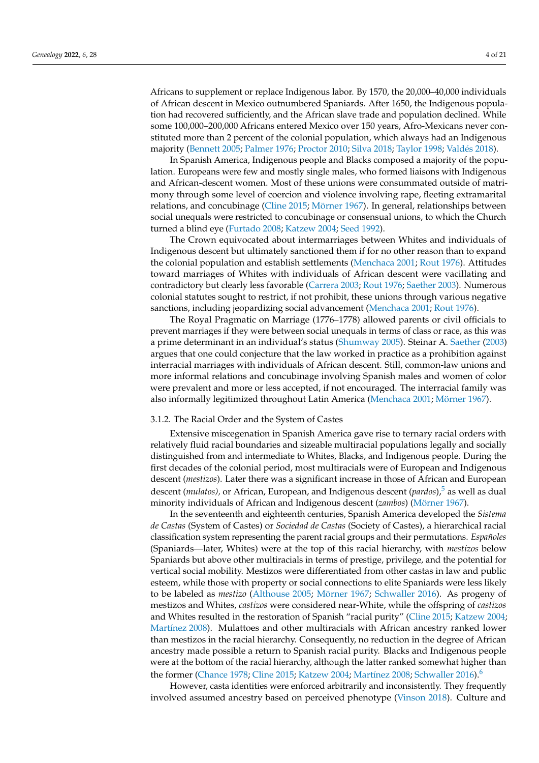Africans to supplement or replace Indigenous labor. By 1570, the 20,000–40,000 individuals of African descent in Mexico outnumbered Spaniards. After 1650, the Indigenous population had recovered sufficiently, and the African slave trade and population declined. While some 100,000–200,000 Africans entered Mexico over 150 years, Afro-Mexicans never constituted more than 2 percent of the colonial population, which always had an Indigenous majority [\(Bennett](#page-17-2) [2005;](#page-17-2) [Palmer](#page-19-5) [1976;](#page-19-5) [Proctor](#page-19-6) [2010;](#page-19-6) [Silva](#page-20-4) [2018;](#page-20-4) [Taylor](#page-20-5) [1998;](#page-20-5) [Vald](#page-20-6)és [2018\)](#page-20-6).

In Spanish America, Indigenous people and Blacks composed a majority of the population. Europeans were few and mostly single males, who formed liaisons with Indigenous and African-descent women. Most of these unions were consummated outside of matrimony through some level of coercion and violence involving rape, fleeting extramarital relations, and concubinage [\(Cline](#page-18-4) [2015;](#page-18-4) [Mörner](#page-19-7) [1967\)](#page-19-7). In general, relationships between social unequals were restricted to concubinage or consensual unions, to which the Church turned a blind eye [\(Furtado](#page-18-5) [2008;](#page-18-5) [Katzew](#page-19-8) [2004;](#page-19-8) [Seed](#page-20-7) [1992\)](#page-20-7).

The Crown equivocated about intermarriages between Whites and individuals of Indigenous descent but ultimately sanctioned them if for no other reason than to expand the colonial population and establish settlements [\(Menchaca](#page-19-9) [2001;](#page-19-9) [Rout](#page-20-2) [1976\)](#page-20-2). Attitudes toward marriages of Whites with individuals of African descent were vacillating and contradictory but clearly less favorable [\(Carrera](#page-18-6) [2003;](#page-18-6) [Rout](#page-20-2) [1976;](#page-20-2) [Saether](#page-20-8) [2003\)](#page-20-8). Numerous colonial statutes sought to restrict, if not prohibit, these unions through various negative sanctions, including jeopardizing social advancement [\(Menchaca](#page-19-9) [2001;](#page-19-9) [Rout](#page-20-2) [1976\)](#page-20-2).

The Royal Pragmatic on Marriage (1776–1778) allowed parents or civil officials to prevent marriages if they were between social unequals in terms of class or race, as this was a prime determinant in an individual's status [\(Shumway](#page-20-9) [2005\)](#page-20-9). Steinar A. [Saether](#page-20-8) [\(2003\)](#page-20-8) argues that one could conjecture that the law worked in practice as a prohibition against interracial marriages with individuals of African descent. Still, common-law unions and more informal relations and concubinage involving Spanish males and women of color were prevalent and more or less accepted, if not encouraged. The interracial family was also informally legitimized throughout Latin America [\(Menchaca](#page-19-9) [2001;](#page-19-9) [Mörner](#page-19-7) [1967\)](#page-19-7).

## 3.1.2. The Racial Order and the System of Castes

Extensive miscegenation in Spanish America gave rise to ternary racial orders with relatively fluid racial boundaries and sizeable multiracial populations legally and socially distinguished from and intermediate to Whites, Blacks, and Indigenous people. During the first decades of the colonial period, most multiracials were of European and Indigenous descent (*mestizos*). Later there was a significant increase in those of African and European descent (*mulatos*), or African, European, and Indigenous descent (*pardos*),<sup>[5](#page-16-4)</sup> as well as dual minority individuals of African and Indigenous descent (*zambos*) [\(Mörner](#page-19-7) [1967\)](#page-19-7).

<span id="page-3-0"></span>In the seventeenth and eighteenth centuries, Spanish America developed the *Sistema de Castas* (System of Castes) or *Sociedad de Castas* (Society of Castes), a hierarchical racial classification system representing the parent racial groups and their permutations. *Españoles* (Spaniards—later, Whites) were at the top of this racial hierarchy, with *mestizos* below Spaniards but above other multiracials in terms of prestige, privilege, and the potential for vertical social mobility. Mestizos were differentiated from other castas in law and public esteem, while those with property or social connections to elite Spaniards were less likely to be labeled as *mestizo* [\(Althouse](#page-17-3) [2005;](#page-17-3) [Mörner](#page-19-7) [1967;](#page-19-7) [Schwaller](#page-20-10) [2016\)](#page-20-10). As progeny of mestizos and Whites, *castizos* were considered near-White, while the offspring of *castizos* and Whites resulted in the restoration of Spanish "racial purity" [\(Cline](#page-18-4) [2015;](#page-18-4) [Katzew](#page-19-8) [2004;](#page-19-8) [Mart](#page-19-10)ínez [2008\)](#page-19-10). Mulattoes and other multiracials with African ancestry ranked lower than mestizos in the racial hierarchy. Consequently, no reduction in the degree of African ancestry made possible a return to Spanish racial purity. Blacks and Indigenous people were at the bottom of the racial hierarchy, although the latter ranked somewhat higher than the former [\(Chance](#page-18-7) [1978;](#page-18-7) [Cline](#page-18-4) [2015;](#page-18-4) [Katzew](#page-19-8) [2004;](#page-19-8) [Mart](#page-19-10)ínez [2008;](#page-19-10) [Schwaller](#page-20-10) [2016\)](#page-20-10).<sup>[6](#page-16-5)</sup>

<span id="page-3-1"></span>However, casta identities were enforced arbitrarily and inconsistently. They frequently involved assumed ancestry based on perceived phenotype [\(Vinson](#page-20-11) [2018\)](#page-20-11). Culture and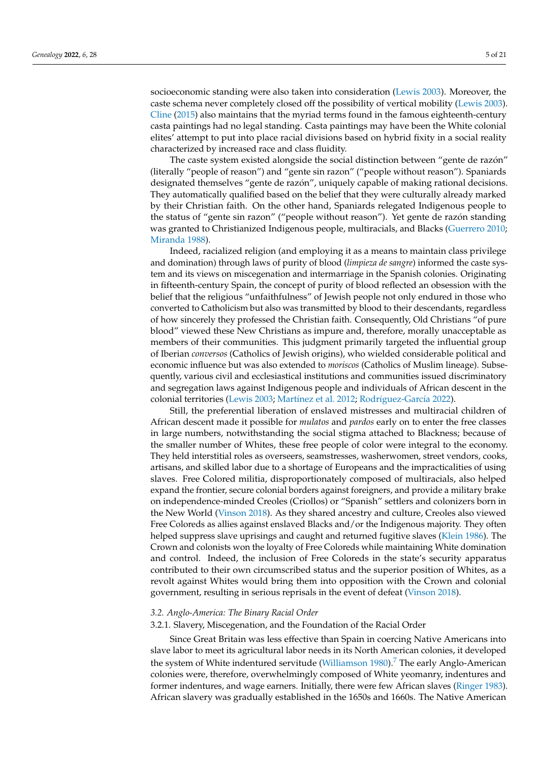socioeconomic standing were also taken into consideration [\(Lewis](#page-19-11) [2003\)](#page-19-11). Moreover, the caste schema never completely closed off the possibility of vertical mobility [\(Lewis](#page-19-11) [2003\)](#page-19-11). [Cline](#page-18-4) [\(2015\)](#page-18-4) also maintains that the myriad terms found in the famous eighteenth-century casta paintings had no legal standing. Casta paintings may have been the White colonial elites' attempt to put into place racial divisions based on hybrid fixity in a social reality characterized by increased race and class fluidity.

The caste system existed alongside the social distinction between "gente de razón" (literally "people of reason") and "gente sin razon" ("people without reason"). Spaniards designated themselves "gente de razón", uniquely capable of making rational decisions. They automatically qualified based on the belief that they were culturally already marked by their Christian faith. On the other hand, Spaniards relegated Indigenous people to the status of "gente sin razon" ("people without reason"). Yet gente de razón standing was granted to Christianized Indigenous people, multiracials, and Blacks [\(Guerrero](#page-18-8) [2010;](#page-18-8) [Miranda](#page-19-12) [1988\)](#page-19-12).

Indeed, racialized religion (and employing it as a means to maintain class privilege and domination) through laws of purity of blood (*limpieza de sangre*) informed the caste system and its views on miscegenation and intermarriage in the Spanish colonies. Originating in fifteenth-century Spain, the concept of purity of blood reflected an obsession with the belief that the religious "unfaithfulness" of Jewish people not only endured in those who converted to Catholicism but also was transmitted by blood to their descendants, regardless of how sincerely they professed the Christian faith. Consequently, Old Christians "of pure blood" viewed these New Christians as impure and, therefore, morally unacceptable as members of their communities. This judgment primarily targeted the influential group of Iberian *conversos* (Catholics of Jewish origins), who wielded considerable political and economic influence but was also extended to *moriscos* (Catholics of Muslim lineage). Subsequently, various civil and ecclesiastical institutions and communities issued discriminatory and segregation laws against Indigenous people and individuals of African descent in the colonial territories [\(Lewis](#page-19-11) [2003;](#page-19-11) Martí[nez et al.](#page-19-13) [2012;](#page-19-13) Rodrí[guez-Garc](#page-20-12)ía [2022\)](#page-20-12).

Still, the preferential liberation of enslaved mistresses and multiracial children of African descent made it possible for *mulatos* and *pardos* early on to enter the free classes in large numbers, notwithstanding the social stigma attached to Blackness; because of the smaller number of Whites, these free people of color were integral to the economy. They held interstitial roles as overseers, seamstresses, washerwomen, street vendors, cooks, artisans, and skilled labor due to a shortage of Europeans and the impracticalities of using slaves. Free Colored militia, disproportionately composed of multiracials, also helped expand the frontier, secure colonial borders against foreigners, and provide a military brake on independence-minded Creoles (Criollos) or "Spanish" settlers and colonizers born in the New World [\(Vinson](#page-20-11) [2018\)](#page-20-11). As they shared ancestry and culture, Creoles also viewed Free Coloreds as allies against enslaved Blacks and/or the Indigenous majority. They often helped suppress slave uprisings and caught and returned fugitive slaves [\(Klein](#page-19-14) [1986\)](#page-19-14). The Crown and colonists won the loyalty of Free Coloreds while maintaining White domination and control. Indeed, the inclusion of Free Coloreds in the state's security apparatus contributed to their own circumscribed status and the superior position of Whites, as a revolt against Whites would bring them into opposition with the Crown and colonial government, resulting in serious reprisals in the event of defeat [\(Vinson](#page-20-11) [2018\)](#page-20-11).

## *3.2. Anglo-America: The Binary Racial Order*

#### 3.2.1. Slavery, Miscegenation, and the Foundation of the Racial Order

<span id="page-4-0"></span>Since Great Britain was less effective than Spain in coercing Native Americans into slave labor to meet its agricultural labor needs in its North American colonies, it developed the system of White indentured servitude [\(Williamson](#page-20-13) [1980\)](#page-20-13).<sup>[7](#page-16-6)</sup> The early Anglo-American colonies were, therefore, overwhelmingly composed of White yeomanry, indentures and former indentures, and wage earners. Initially, there were few African slaves [\(Ringer](#page-19-15) [1983\)](#page-19-15). African slavery was gradually established in the 1650s and 1660s. The Native American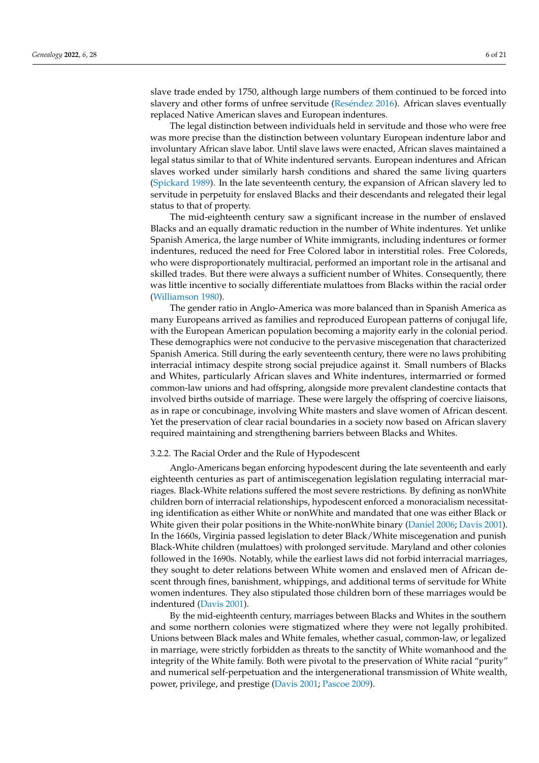slave trade ended by 1750, although large numbers of them continued to be forced into slavery and other forms of unfree servitude (Resé[ndez](#page-19-16) [2016\)](#page-19-16). African slaves eventually replaced Native American slaves and European indentures.

The legal distinction between individuals held in servitude and those who were free was more precise than the distinction between voluntary European indenture labor and involuntary African slave labor. Until slave laws were enacted, African slaves maintained a legal status similar to that of White indentured servants. European indentures and African slaves worked under similarly harsh conditions and shared the same living quarters [\(Spickard](#page-20-14) [1989\)](#page-20-14). In the late seventeenth century, the expansion of African slavery led to servitude in perpetuity for enslaved Blacks and their descendants and relegated their legal status to that of property.

The mid-eighteenth century saw a significant increase in the number of enslaved Blacks and an equally dramatic reduction in the number of White indentures. Yet unlike Spanish America, the large number of White immigrants, including indentures or former indentures, reduced the need for Free Colored labor in interstitial roles. Free Coloreds, who were disproportionately multiracial, performed an important role in the artisanal and skilled trades. But there were always a sufficient number of Whites. Consequently, there was little incentive to socially differentiate mulattoes from Blacks within the racial order [\(Williamson](#page-20-13) [1980\)](#page-20-13).

The gender ratio in Anglo-America was more balanced than in Spanish America as many Europeans arrived as families and reproduced European patterns of conjugal life, with the European American population becoming a majority early in the colonial period. These demographics were not conducive to the pervasive miscegenation that characterized Spanish America. Still during the early seventeenth century, there were no laws prohibiting interracial intimacy despite strong social prejudice against it. Small numbers of Blacks and Whites, particularly African slaves and White indentures, intermarried or formed common-law unions and had offspring, alongside more prevalent clandestine contacts that involved births outside of marriage. These were largely the offspring of coercive liaisons, as in rape or concubinage, involving White masters and slave women of African descent. Yet the preservation of clear racial boundaries in a society now based on African slavery required maintaining and strengthening barriers between Blacks and Whites.

## 3.2.2. The Racial Order and the Rule of Hypodescent

Anglo-Americans began enforcing hypodescent during the late seventeenth and early eighteenth centuries as part of antimiscegenation legislation regulating interracial marriages. Black-White relations suffered the most severe restrictions. By defining as nonWhite children born of interracial relationships, hypodescent enforced a monoracialism necessitating identification as either White or nonWhite and mandated that one was either Black or White given their polar positions in the White-nonWhite binary [\(Daniel](#page-18-0) [2006;](#page-18-0) [Davis](#page-18-9) [2001\)](#page-18-9). In the 1660s, Virginia passed legislation to deter Black/White miscegenation and punish Black-White children (mulattoes) with prolonged servitude. Maryland and other colonies followed in the 1690s. Notably, while the earliest laws did not forbid interracial marriages, they sought to deter relations between White women and enslaved men of African descent through fines, banishment, whippings, and additional terms of servitude for White women indentures. They also stipulated those children born of these marriages would be indentured [\(Davis](#page-18-9) [2001\)](#page-18-9).

By the mid-eighteenth century, marriages between Blacks and Whites in the southern and some northern colonies were stigmatized where they were not legally prohibited. Unions between Black males and White females, whether casual, common-law, or legalized in marriage, were strictly forbidden as threats to the sanctity of White womanhood and the integrity of the White family. Both were pivotal to the preservation of White racial "purity" and numerical self-perpetuation and the intergenerational transmission of White wealth, power, privilege, and prestige [\(Davis](#page-18-9) [2001;](#page-18-9) [Pascoe](#page-19-17) [2009\)](#page-19-17).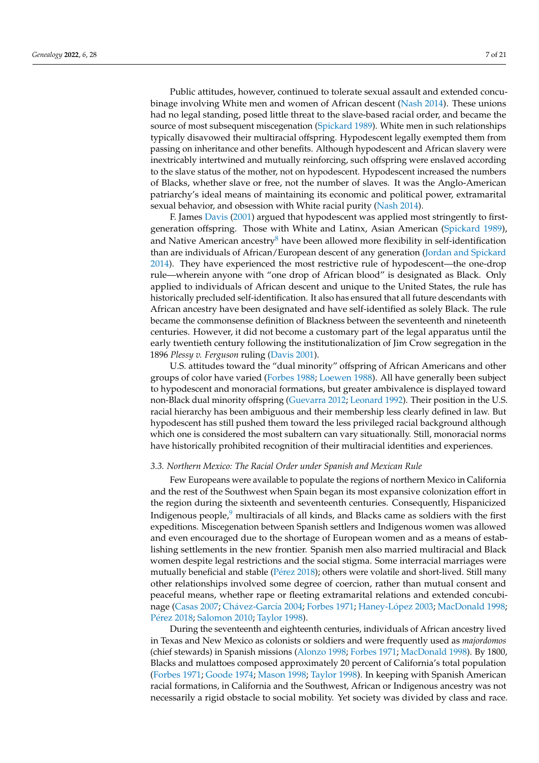Public attitudes, however, continued to tolerate sexual assault and extended concubinage involving White men and women of African descent [\(Nash](#page-19-18) [2014\)](#page-19-18). These unions had no legal standing, posed little threat to the slave-based racial order, and became the source of most subsequent miscegenation [\(Spickard](#page-20-14) [1989\)](#page-20-14). White men in such relationships typically disavowed their multiracial offspring. Hypodescent legally exempted them from passing on inheritance and other benefits. Although hypodescent and African slavery were inextricably intertwined and mutually reinforcing, such offspring were enslaved according to the slave status of the mother, not on hypodescent. Hypodescent increased the numbers of Blacks, whether slave or free, not the number of slaves. It was the Anglo-American patriarchy's ideal means of maintaining its economic and political power, extramarital sexual behavior, and obsession with White racial purity [\(Nash](#page-19-18) [2014\)](#page-19-18).

<span id="page-6-0"></span>F. James [Davis](#page-18-9) [\(2001\)](#page-18-9) argued that hypodescent was applied most stringently to firstgeneration offspring. Those with White and Latinx, Asian American [\(Spickard](#page-20-14) [1989\)](#page-20-14), and Native American ancestry<sup>[8](#page-16-7)</sup> have been allowed more flexibility in self-identification than are individuals of African/European descent of any generation [\(Jordan and Spickard](#page-19-19) [2014\)](#page-19-19). They have experienced the most restrictive rule of hypodescent—the one-drop rule—wherein anyone with "one drop of African blood" is designated as Black. Only applied to individuals of African descent and unique to the United States, the rule has historically precluded self-identification. It also has ensured that all future descendants with African ancestry have been designated and have self-identified as solely Black. The rule became the commonsense definition of Blackness between the seventeenth and nineteenth centuries. However, it did not become a customary part of the legal apparatus until the early twentieth century following the institutionalization of Jim Crow segregation in the 1896 *Plessy v. Ferguson* ruling [\(Davis](#page-18-9) [2001\)](#page-18-9).

U.S. attitudes toward the "dual minority" offspring of African Americans and other groups of color have varied [\(Forbes](#page-18-10) [1988;](#page-18-10) [Loewen](#page-19-20) [1988\)](#page-19-20). All have generally been subject to hypodescent and monoracial formations, but greater ambivalence is displayed toward non-Black dual minority offspring [\(Guevarra](#page-18-11) [2012;](#page-18-11) [Leonard](#page-19-21) [1992\)](#page-19-21). Their position in the U.S. racial hierarchy has been ambiguous and their membership less clearly defined in law. But hypodescent has still pushed them toward the less privileged racial background although which one is considered the most subaltern can vary situationally. Still, monoracial norms have historically prohibited recognition of their multiracial identities and experiences.

## *3.3. Northern Mexico: The Racial Order under Spanish and Mexican Rule*

<span id="page-6-1"></span>Few Europeans were available to populate the regions of northern Mexico in California and the rest of the Southwest when Spain began its most expansive colonization effort in the region during the sixteenth and seventeenth centuries. Consequently, Hispanicized Indigenous people, $9$  multiracials of all kinds, and Blacks came as soldiers with the first expeditions. Miscegenation between Spanish settlers and Indigenous women was allowed and even encouraged due to the shortage of European women and as a means of establishing settlements in the new frontier. Spanish men also married multiracial and Black women despite legal restrictions and the social stigma. Some interracial marriages were mutually beneficial and stable (Pé[rez](#page-19-22) [2018\)](#page-19-22); others were volatile and short-lived. Still many other relationships involved some degree of coercion, rather than mutual consent and peaceful means, whether rape or fleeting extramarital relations and extended concubinage [\(Casas](#page-18-12) [2007;](#page-18-12) Chá[vez-Garc](#page-18-13)ía [2004;](#page-18-13) [Forbes](#page-18-14) [1971;](#page-18-14) [Haney-L](#page-18-15)ópez [2003;](#page-18-15) [MacDonald](#page-19-23) [1998;](#page-19-23) Pé[rez](#page-19-22) [2018;](#page-19-22) [Salomon](#page-20-15) [2010;](#page-20-15) [Taylor](#page-20-5) [1998\)](#page-20-5).

During the seventeenth and eighteenth centuries, individuals of African ancestry lived in Texas and New Mexico as colonists or soldiers and were frequently used as *majordomos* (chief stewards) in Spanish missions [\(Alonzo](#page-17-4) [1998;](#page-17-4) [Forbes](#page-18-14) [1971;](#page-18-14) [MacDonald](#page-19-23) [1998\)](#page-19-23). By 1800, Blacks and mulattoes composed approximately 20 percent of California's total population [\(Forbes](#page-18-14) [1971;](#page-18-14) [Goode](#page-18-16) [1974;](#page-18-16) [Mason](#page-19-24) [1998;](#page-19-24) [Taylor](#page-20-5) [1998\)](#page-20-5). In keeping with Spanish American racial formations, in California and the Southwest, African or Indigenous ancestry was not necessarily a rigid obstacle to social mobility. Yet society was divided by class and race.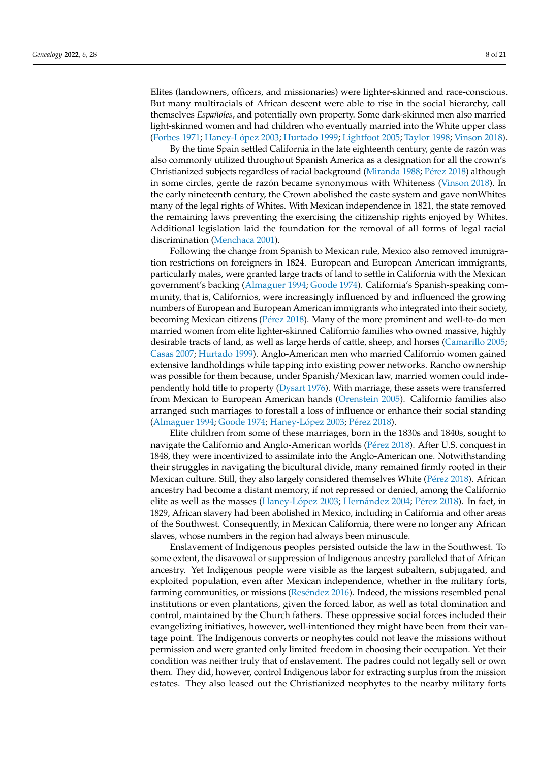Elites (landowners, officers, and missionaries) were lighter-skinned and race-conscious. But many multiracials of African descent were able to rise in the social hierarchy, call themselves *Españoles*, and potentially own property. Some dark-skinned men also married light-skinned women and had children who eventually married into the White upper class [\(Forbes](#page-18-14) [1971;](#page-18-14) [Haney-L](#page-18-15)ópez [2003;](#page-18-15) [Hurtado](#page-19-25) [1999;](#page-19-25) [Lightfoot](#page-19-26) [2005;](#page-19-26) [Taylor](#page-20-5) [1998;](#page-20-5) [Vinson](#page-20-11) [2018\)](#page-20-11).

By the time Spain settled California in the late eighteenth century, gente de razón was also commonly utilized throughout Spanish America as a designation for all the crown's Christianized subjects regardless of racial background [\(Miranda](#page-19-12) [1988;](#page-19-12) Pé[rez](#page-19-22) [2018\)](#page-19-22) although in some circles, gente de razón became synonymous with Whiteness [\(Vinson](#page-20-11) [2018\)](#page-20-11). In the early nineteenth century, the Crown abolished the caste system and gave nonWhites many of the legal rights of Whites. With Mexican independence in 1821, the state removed the remaining laws preventing the exercising the citizenship rights enjoyed by Whites. Additional legislation laid the foundation for the removal of all forms of legal racial discrimination [\(Menchaca](#page-19-9) [2001\)](#page-19-9).

Following the change from Spanish to Mexican rule, Mexico also removed immigration restrictions on foreigners in 1824. European and European American immigrants, particularly males, were granted large tracts of land to settle in California with the Mexican government's backing [\(Almaguer](#page-17-5) [1994;](#page-17-5) [Goode](#page-18-16) [1974\)](#page-18-16). California's Spanish-speaking community, that is, Californios, were increasingly influenced by and influenced the growing numbers of European and European American immigrants who integrated into their society, becoming Mexican citizens (Pé[rez](#page-19-22) [2018\)](#page-19-22). Many of the more prominent and well-to-do men married women from elite lighter-skinned Californio families who owned massive, highly desirable tracts of land, as well as large herds of cattle, sheep, and horses [\(Camarillo](#page-18-17) [2005;](#page-18-17) [Casas](#page-18-12) [2007;](#page-18-12) [Hurtado](#page-19-25) [1999\)](#page-19-25). Anglo-American men who married Californio women gained extensive landholdings while tapping into existing power networks. Rancho ownership was possible for them because, under Spanish/Mexican law, married women could independently hold title to property [\(Dysart](#page-18-18) [1976\)](#page-18-18). With marriage, these assets were transferred from Mexican to European American hands [\(Orenstein](#page-19-27) [2005\)](#page-19-27). Californio families also arranged such marriages to forestall a loss of influence or enhance their social standing [\(Almaguer](#page-17-5) [1994;](#page-17-5) [Goode](#page-18-16) [1974;](#page-18-16) [Haney-L](#page-18-15)ópez [2003;](#page-18-15) Pé[rez](#page-19-22) [2018\)](#page-19-22).

Elite children from some of these marriages, born in the 1830s and 1840s, sought to navigate the Californio and Anglo-American worlds (Pé[rez](#page-19-22) [2018\)](#page-19-22). After U.S. conquest in 1848, they were incentivized to assimilate into the Anglo-American one. Notwithstanding their struggles in navigating the bicultural divide, many remained firmly rooted in their Mexican culture. Still, they also largely considered themselves White (Pé[rez](#page-19-22) [2018\)](#page-19-22). African ancestry had become a distant memory, if not repressed or denied, among the Californio elite as well as the masses [\(Haney-L](#page-18-15)ópez [2003;](#page-18-15) [Hern](#page-18-19)ández [2004;](#page-18-19) Pé[rez](#page-19-22) [2018\)](#page-19-22). In fact, in 1829, African slavery had been abolished in Mexico, including in California and other areas of the Southwest. Consequently, in Mexican California, there were no longer any African slaves, whose numbers in the region had always been minuscule.

Enslavement of Indigenous peoples persisted outside the law in the Southwest. To some extent, the disavowal or suppression of Indigenous ancestry paralleled that of African ancestry. Yet Indigenous people were visible as the largest subaltern, subjugated, and exploited population, even after Mexican independence, whether in the military forts, farming communities, or missions (Resé[ndez](#page-19-16) [2016\)](#page-19-16). Indeed, the missions resembled penal institutions or even plantations, given the forced labor, as well as total domination and control, maintained by the Church fathers. These oppressive social forces included their evangelizing initiatives, however, well-intentioned they might have been from their vantage point. The Indigenous converts or neophytes could not leave the missions without permission and were granted only limited freedom in choosing their occupation. Yet their condition was neither truly that of enslavement. The padres could not legally sell or own them. They did, however, control Indigenous labor for extracting surplus from the mission estates. They also leased out the Christianized neophytes to the nearby military forts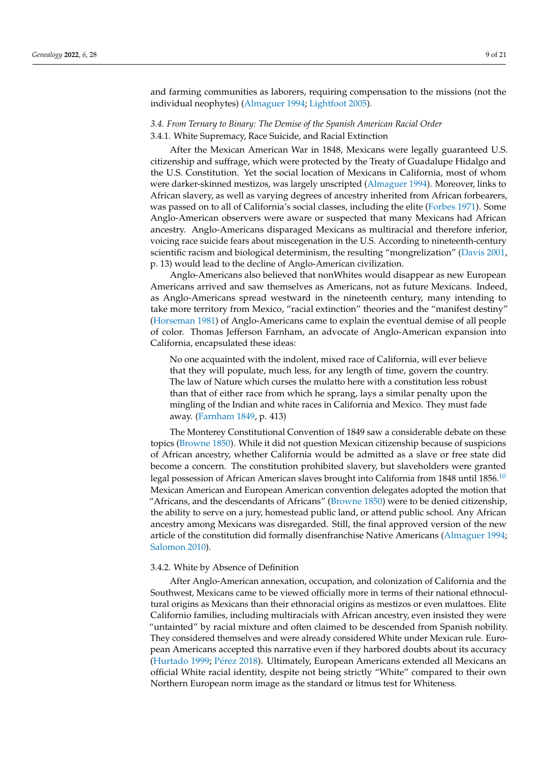and farming communities as laborers, requiring compensation to the missions (not the individual neophytes) [\(Almaguer](#page-17-5) [1994;](#page-17-5) [Lightfoot](#page-19-26) [2005\)](#page-19-26).

## *3.4. From Ternary to Binary: The Demise of the Spanish American Racial Order* 3.4.1. White Supremacy, Race Suicide, and Racial Extinction

After the Mexican American War in 1848, Mexicans were legally guaranteed U.S. citizenship and suffrage, which were protected by the Treaty of Guadalupe Hidalgo and the U.S. Constitution. Yet the social location of Mexicans in California, most of whom were darker-skinned mestizos, was largely unscripted [\(Almaguer](#page-17-5) [1994\)](#page-17-5). Moreover, links to African slavery, as well as varying degrees of ancestry inherited from African forbearers, was passed on to all of California's social classes, including the elite [\(Forbes](#page-18-14) [1971\)](#page-18-14). Some Anglo-American observers were aware or suspected that many Mexicans had African ancestry. Anglo-Americans disparaged Mexicans as multiracial and therefore inferior, voicing race suicide fears about miscegenation in the U.S. According to nineteenth-century scientific racism and biological determinism, the resulting "mongrelization" [\(Davis](#page-18-9) [2001,](#page-18-9) p. 13) would lead to the decline of Anglo-American civilization.

Anglo-Americans also believed that nonWhites would disappear as new European Americans arrived and saw themselves as Americans, not as future Mexicans. Indeed, as Anglo-Americans spread westward in the nineteenth century, many intending to take more territory from Mexico, "racial extinction" theories and the "manifest destiny" [\(Horseman](#page-19-28) [1981\)](#page-19-28) of Anglo-Americans came to explain the eventual demise of all people of color. Thomas Jefferson Farnham, an advocate of Anglo-American expansion into California, encapsulated these ideas:

<span id="page-8-0"></span>No one acquainted with the indolent, mixed race of California, will ever believe that they will populate, much less, for any length of time, govern the country. The law of Nature which curses the mulatto here with a constitution less robust than that of either race from which he sprang, lays a similar penalty upon the mingling of the Indian and white races in California and Mexico. They must fade away. [\(Farnham](#page-18-20) [1849,](#page-18-20) p. 413)

The Monterey Constitutional Convention of 1849 saw a considerable debate on these topics [\(Browne](#page-17-6) [1850\)](#page-17-6). While it did not question Mexican citizenship because of suspicions of African ancestry, whether California would be admitted as a slave or free state did become a concern. The constitution prohibited slavery, but slaveholders were granted legal possession of African American slaves brought into California from 1848 until 1856.<sup>[10](#page-17-7)</sup> Mexican American and European American convention delegates adopted the motion that "Africans, and the descendants of Africans" [\(Browne](#page-17-6) [1850\)](#page-17-6) were to be denied citizenship, the ability to serve on a jury, homestead public land, or attend public school. Any African ancestry among Mexicans was disregarded. Still, the final approved version of the new article of the constitution did formally disenfranchise Native Americans [\(Almaguer](#page-17-5) [1994;](#page-17-5) [Salomon](#page-20-15) [2010\)](#page-20-15).

## 3.4.2. White by Absence of Definition

After Anglo-American annexation, occupation, and colonization of California and the Southwest, Mexicans came to be viewed officially more in terms of their national ethnocultural origins as Mexicans than their ethnoracial origins as mestizos or even mulattoes. Elite Californio families, including multiracials with African ancestry, even insisted they were "untainted" by racial mixture and often claimed to be descended from Spanish nobility. They considered themselves and were already considered White under Mexican rule. European Americans accepted this narrative even if they harbored doubts about its accuracy [\(Hurtado](#page-19-25) [1999;](#page-19-25) Pé[rez](#page-19-22) [2018\)](#page-19-22). Ultimately, European Americans extended all Mexicans an official White racial identity, despite not being strictly "White" compared to their own Northern European norm image as the standard or litmus test for Whiteness.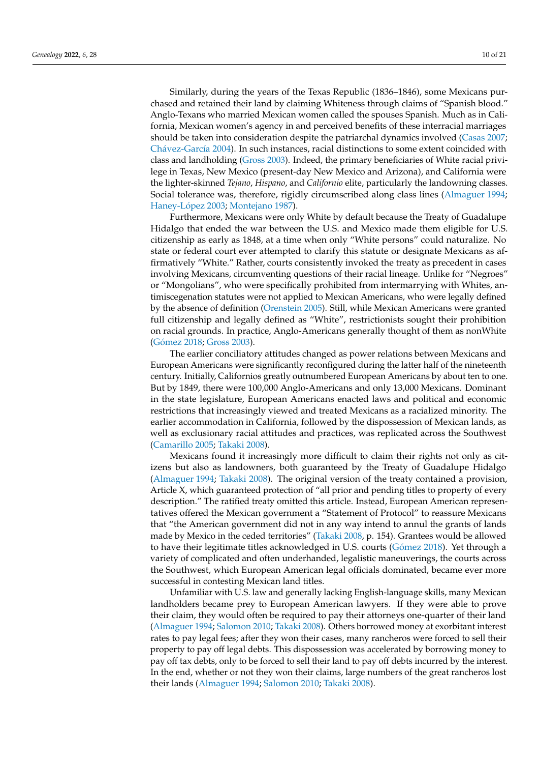Similarly, during the years of the Texas Republic (1836–1846), some Mexicans purchased and retained their land by claiming Whiteness through claims of "Spanish blood." Anglo-Texans who married Mexican women called the spouses Spanish. Much as in California, Mexican women's agency in and perceived benefits of these interracial marriages should be taken into consideration despite the patriarchal dynamics involved [\(Casas](#page-18-12) [2007;](#page-18-12) Chá[vez-Garc](#page-18-13)ía [2004\)](#page-18-13). In such instances, racial distinctions to some extent coincided with class and landholding [\(Gross](#page-18-21) [2003\)](#page-18-21). Indeed, the primary beneficiaries of White racial privilege in Texas, New Mexico (present-day New Mexico and Arizona), and California were the lighter-skinned *Tejano*, *Hispano*, and *Californio* elite, particularly the landowning classes. Social tolerance was, therefore, rigidly circumscribed along class lines [\(Almaguer](#page-17-5) [1994;](#page-17-5) [Haney-L](#page-18-15)ópez [2003;](#page-18-15) [Montejano](#page-19-29) [1987\)](#page-19-29).

Furthermore, Mexicans were only White by default because the Treaty of Guadalupe Hidalgo that ended the war between the U.S. and Mexico made them eligible for U.S. citizenship as early as 1848, at a time when only "White persons" could naturalize. No state or federal court ever attempted to clarify this statute or designate Mexicans as affirmatively "White." Rather, courts consistently invoked the treaty as precedent in cases involving Mexicans, circumventing questions of their racial lineage. Unlike for "Negroes" or "Mongolians", who were specifically prohibited from intermarrying with Whites, antimiscegenation statutes were not applied to Mexican Americans, who were legally defined by the absence of definition [\(Orenstein](#page-19-27) [2005\)](#page-19-27). Still, while Mexican Americans were granted full citizenship and legally defined as "White", restrictionists sought their prohibition on racial grounds. In practice, Anglo-Americans generally thought of them as nonWhite (Gó[mez](#page-18-22) [2018;](#page-18-22) [Gross](#page-18-21) [2003\)](#page-18-21).

The earlier conciliatory attitudes changed as power relations between Mexicans and European Americans were significantly reconfigured during the latter half of the nineteenth century. Initially, Californios greatly outnumbered European Americans by about ten to one. But by 1849, there were 100,000 Anglo-Americans and only 13,000 Mexicans. Dominant in the state legislature, European Americans enacted laws and political and economic restrictions that increasingly viewed and treated Mexicans as a racialized minority. The earlier accommodation in California, followed by the dispossession of Mexican lands, as well as exclusionary racial attitudes and practices, was replicated across the Southwest [\(Camarillo](#page-18-17) [2005;](#page-18-17) [Takaki](#page-20-16) [2008\)](#page-20-16).

Mexicans found it increasingly more difficult to claim their rights not only as citizens but also as landowners, both guaranteed by the Treaty of Guadalupe Hidalgo [\(Almaguer](#page-17-5) [1994;](#page-17-5) [Takaki](#page-20-16) [2008\)](#page-20-16). The original version of the treaty contained a provision, Article X, which guaranteed protection of "all prior and pending titles to property of every description." The ratified treaty omitted this article. Instead, European American representatives offered the Mexican government a "Statement of Protocol" to reassure Mexicans that "the American government did not in any way intend to annul the grants of lands made by Mexico in the ceded territories" [\(Takaki](#page-20-16) [2008,](#page-20-16) p. 154). Grantees would be allowed to have their legitimate titles acknowledged in U.S. courts (Gó[mez](#page-18-22) [2018\)](#page-18-22). Yet through a variety of complicated and often underhanded, legalistic maneuverings, the courts across the Southwest, which European American legal officials dominated, became ever more successful in contesting Mexican land titles.

Unfamiliar with U.S. law and generally lacking English-language skills, many Mexican landholders became prey to European American lawyers. If they were able to prove their claim, they would often be required to pay their attorneys one-quarter of their land [\(Almaguer](#page-17-5) [1994;](#page-17-5) [Salomon](#page-20-15) [2010;](#page-20-15) [Takaki](#page-20-16) [2008\)](#page-20-16). Others borrowed money at exorbitant interest rates to pay legal fees; after they won their cases, many rancheros were forced to sell their property to pay off legal debts. This dispossession was accelerated by borrowing money to pay off tax debts, only to be forced to sell their land to pay off debts incurred by the interest. In the end, whether or not they won their claims, large numbers of the great rancheros lost their lands [\(Almaguer](#page-17-5) [1994;](#page-17-5) [Salomon](#page-20-15) [2010;](#page-20-15) [Takaki](#page-20-16) [2008\)](#page-20-16).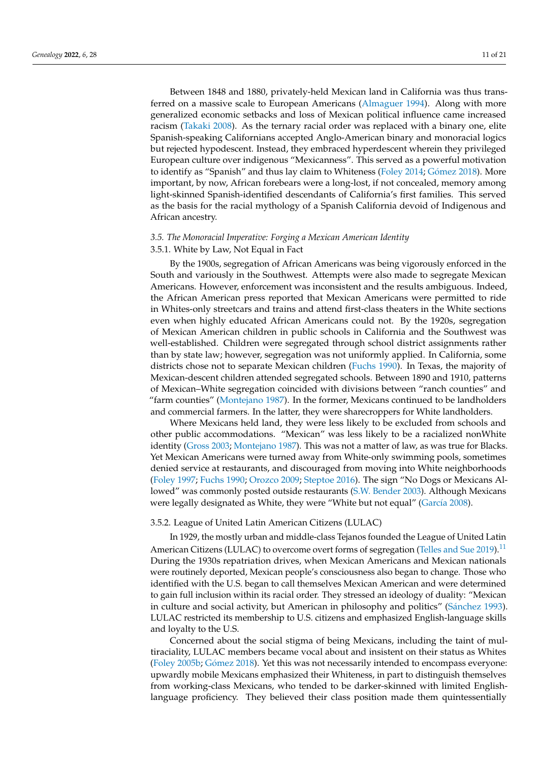Between 1848 and 1880, privately-held Mexican land in California was thus transferred on a massive scale to European Americans [\(Almaguer](#page-17-5) [1994\)](#page-17-5). Along with more generalized economic setbacks and loss of Mexican political influence came increased racism [\(Takaki](#page-20-16) [2008\)](#page-20-16). As the ternary racial order was replaced with a binary one, elite Spanish-speaking Californians accepted Anglo-American binary and monoracial logics but rejected hypodescent. Instead, they embraced hyperdescent wherein they privileged European culture over indigenous "Mexicanness". This served as a powerful motivation to identify as "Spanish" and thus lay claim to Whiteness [\(Foley](#page-18-23) [2014;](#page-18-23) Gó[mez](#page-18-22) [2018\)](#page-18-22). More important, by now, African forebears were a long-lost, if not concealed, memory among light-skinned Spanish-identified descendants of California's first families. This served as the basis for the racial mythology of a Spanish California devoid of Indigenous and African ancestry.

## *3.5. The Monoracial Imperative: Forging a Mexican American Identity*

## 3.5.1. White by Law, Not Equal in Fact

By the 1900s, segregation of African Americans was being vigorously enforced in the South and variously in the Southwest. Attempts were also made to segregate Mexican Americans. However, enforcement was inconsistent and the results ambiguous. Indeed, the African American press reported that Mexican Americans were permitted to ride in Whites-only streetcars and trains and attend first-class theaters in the White sections even when highly educated African Americans could not. By the 1920s, segregation of Mexican American children in public schools in California and the Southwest was well-established. Children were segregated through school district assignments rather than by state law; however, segregation was not uniformly applied. In California, some districts chose not to separate Mexican children [\(Fuchs](#page-18-24) [1990\)](#page-18-24). In Texas, the majority of Mexican-descent children attended segregated schools. Between 1890 and 1910, patterns of Mexican–White segregation coincided with divisions between "ranch counties" and "farm counties" [\(Montejano](#page-19-29) [1987\)](#page-19-29). In the former, Mexicans continued to be landholders and commercial farmers. In the latter, they were sharecroppers for White landholders.

Where Mexicans held land, they were less likely to be excluded from schools and other public accommodations. "Mexican" was less likely to be a racialized nonWhite identity [\(Gross](#page-18-21) [2003;](#page-18-21) [Montejano](#page-19-29) [1987\)](#page-19-29). This was not a matter of law, as was true for Blacks. Yet Mexican Americans were turned away from White-only swimming pools, sometimes denied service at restaurants, and discouraged from moving into White neighborhoods [\(Foley](#page-18-25) [1997;](#page-18-25) [Fuchs](#page-18-24) [1990;](#page-18-24) [Orozco](#page-19-30) [2009;](#page-19-30) [Steptoe](#page-20-17) [2016\)](#page-20-17). The sign "No Dogs or Mexicans Allowed" was commonly posted outside restaurants [\(S.W. Bender](#page-17-8) [2003\)](#page-17-8). Although Mexicans were legally designated as White, they were "White but not equal" [\(Garc](#page-18-26)ía [2008\)](#page-18-26).

#### 3.5.2. League of United Latin American Citizens (LULAC)

<span id="page-10-0"></span>In 1929, the mostly urban and middle-class Tejanos founded the League of United Latin American Citizens (LULAC) to overcome overt forms of segregation [\(Telles and Sue](#page-20-18) [2019\)](#page-20-18).<sup>[11](#page-17-9)</sup> During the 1930s repatriation drives, when Mexican Americans and Mexican nationals were routinely deported, Mexican people's consciousness also began to change. Those who identified with the U.S. began to call themselves Mexican American and were determined to gain full inclusion within its racial order. They stressed an ideology of duality: "Mexican in culture and social activity, but American in philosophy and politics" (Sá[nchez](#page-20-19) [1993\)](#page-20-19). LULAC restricted its membership to U.S. citizens and emphasized English-language skills and loyalty to the U.S.

Concerned about the social stigma of being Mexicans, including the taint of multiraciality, LULAC members became vocal about and insistent on their status as Whites [\(Foley](#page-18-27) [2005b;](#page-18-27) Gó[mez](#page-18-22) [2018\)](#page-18-22). Yet this was not necessarily intended to encompass everyone: upwardly mobile Mexicans emphasized their Whiteness, in part to distinguish themselves from working-class Mexicans, who tended to be darker-skinned with limited Englishlanguage proficiency. They believed their class position made them quintessentially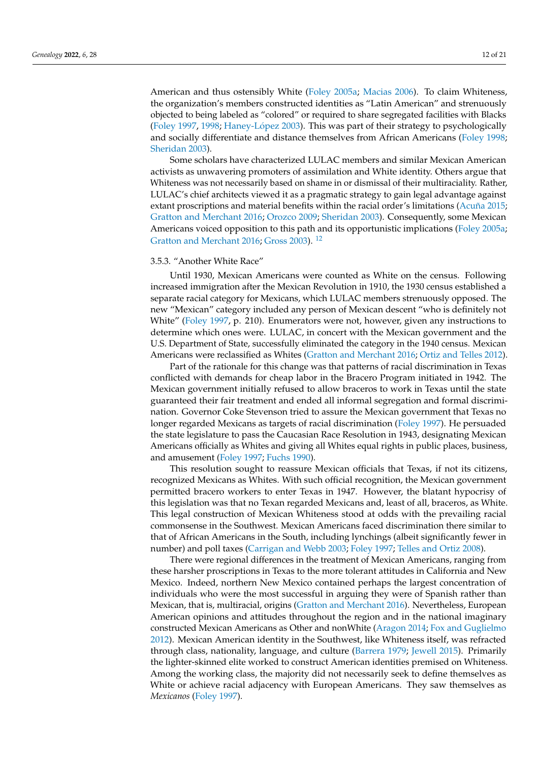American and thus ostensibly White [\(Foley](#page-18-28) [2005a;](#page-18-28) [Macias](#page-19-31) [2006\)](#page-19-31). To claim Whiteness, the organization's members constructed identities as "Latin American" and strenuously objected to being labeled as "colored" or required to share segregated facilities with Blacks [\(Foley](#page-18-25) [1997,](#page-18-25) [1998;](#page-18-29) [Haney-L](#page-18-15)ópez [2003\)](#page-18-15). This was part of their strategy to psychologically and socially differentiate and distance themselves from African Americans [\(Foley](#page-18-29) [1998;](#page-18-29) [Sheridan](#page-20-20) [2003\)](#page-20-20).

Some scholars have characterized LULAC members and similar Mexican American activists as unwavering promoters of assimilation and White identity. Others argue that Whiteness was not necessarily based on shame in or dismissal of their multiraciality. Rather, LULAC's chief architects viewed it as a pragmatic strategy to gain legal advantage against extant proscriptions and material benefits within the racial order's limitations [\(Acuña](#page-17-10) [2015;](#page-17-10) [Gratton and Merchant](#page-18-30) [2016;](#page-18-30) [Orozco](#page-19-30) [2009;](#page-19-30) [Sheridan](#page-20-20) [2003\)](#page-20-20). Consequently, some Mexican Americans voiced opposition to this path and its opportunistic implications [\(Foley](#page-18-28) [2005a;](#page-18-28) [Gratton and Merchant](#page-18-30) [2016;](#page-18-30) [Gross](#page-18-21) [2003\)](#page-18-21). [12](#page-17-11)

## <span id="page-11-0"></span>3.5.3. "Another White Race"

Until 1930, Mexican Americans were counted as White on the census. Following increased immigration after the Mexican Revolution in 1910, the 1930 census established a separate racial category for Mexicans, which LULAC members strenuously opposed. The new "Mexican" category included any person of Mexican descent "who is definitely not White" [\(Foley](#page-18-25) [1997,](#page-18-25) p. 210). Enumerators were not, however, given any instructions to determine which ones were. LULAC, in concert with the Mexican government and the U.S. Department of State, successfully eliminated the category in the 1940 census. Mexican Americans were reclassified as Whites [\(Gratton and Merchant](#page-18-30) [2016;](#page-18-30) [Ortiz and Telles](#page-19-32) [2012\)](#page-19-32).

Part of the rationale for this change was that patterns of racial discrimination in Texas conflicted with demands for cheap labor in the Bracero Program initiated in 1942. The Mexican government initially refused to allow braceros to work in Texas until the state guaranteed their fair treatment and ended all informal segregation and formal discrimination. Governor Coke Stevenson tried to assure the Mexican government that Texas no longer regarded Mexicans as targets of racial discrimination [\(Foley](#page-18-25) [1997\)](#page-18-25). He persuaded the state legislature to pass the Caucasian Race Resolution in 1943, designating Mexican Americans officially as Whites and giving all Whites equal rights in public places, business, and amusement [\(Foley](#page-18-25) [1997;](#page-18-25) [Fuchs](#page-18-24) [1990\)](#page-18-24).

This resolution sought to reassure Mexican officials that Texas, if not its citizens, recognized Mexicans as Whites. With such official recognition, the Mexican government permitted bracero workers to enter Texas in 1947. However, the blatant hypocrisy of this legislation was that no Texan regarded Mexicans and, least of all, braceros, as White. This legal construction of Mexican Whiteness stood at odds with the prevailing racial commonsense in the Southwest. Mexican Americans faced discrimination there similar to that of African Americans in the South, including lynchings (albeit significantly fewer in number) and poll taxes [\(Carrigan and Webb](#page-18-31) [2003;](#page-18-31) [Foley](#page-18-25) [1997;](#page-18-25) [Telles and Ortiz](#page-20-21) [2008\)](#page-20-21).

There were regional differences in the treatment of Mexican Americans, ranging from these harsher proscriptions in Texas to the more tolerant attitudes in California and New Mexico. Indeed, northern New Mexico contained perhaps the largest concentration of individuals who were the most successful in arguing they were of Spanish rather than Mexican, that is, multiracial, origins [\(Gratton and Merchant](#page-18-30) [2016\)](#page-18-30). Nevertheless, European American opinions and attitudes throughout the region and in the national imaginary constructed Mexican Americans as Other and nonWhite [\(Aragon](#page-17-12) [2014;](#page-17-12) [Fox and Guglielmo](#page-18-32) [2012\)](#page-18-32). Mexican American identity in the Southwest, like Whiteness itself, was refracted through class, nationality, language, and culture [\(Barrera](#page-17-13) [1979;](#page-17-13) [Jewell](#page-19-33) [2015\)](#page-19-33). Primarily the lighter-skinned elite worked to construct American identities premised on Whiteness. Among the working class, the majority did not necessarily seek to define themselves as White or achieve racial adjacency with European Americans. They saw themselves as *Mexicanos* [\(Foley](#page-18-25) [1997\)](#page-18-25).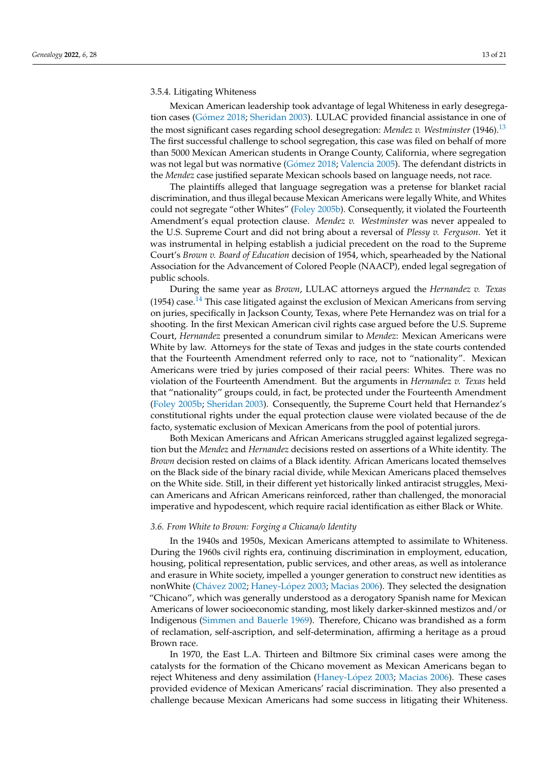## 3.5.4. Litigating Whiteness

<span id="page-12-0"></span>Mexican American leadership took advantage of legal Whiteness in early desegregation cases (Gó[mez](#page-18-22) [2018;](#page-18-22) [Sheridan](#page-20-20) [2003\)](#page-20-20). LULAC provided financial assistance in one of the most significant cases regarding school desegregation: *Mendez v. Westminster* (1946).[13](#page-17-14) The first successful challenge to school segregation, this case was filed on behalf of more than 5000 Mexican American students in Orange County, California, where segregation was not legal but was normative (Gó[mez](#page-18-22) [2018;](#page-18-22) [Valencia](#page-20-22) [2005\)](#page-20-22). The defendant districts in the *Mendez* case justified separate Mexican schools based on language needs, not race.

The plaintiffs alleged that language segregation was a pretense for blanket racial discrimination, and thus illegal because Mexican Americans were legally White, and Whites could not segregate "other Whites" [\(Foley](#page-18-27) [2005b\)](#page-18-27). Consequently, it violated the Fourteenth Amendment's equal protection clause. *Mendez v. Westminster* was never appealed to the U.S. Supreme Court and did not bring about a reversal of *Plessy v. Ferguson*. Yet it was instrumental in helping establish a judicial precedent on the road to the Supreme Court's *Brown v. Board of Education* decision of 1954, which, spearheaded by the National Association for the Advancement of Colored People (NAACP), ended legal segregation of public schools.

<span id="page-12-1"></span>During the same year as *Brown*, LULAC attorneys argued the *Hernandez v. Texas* (1954) case.<sup>[14](#page-17-15)</sup> This case litigated against the exclusion of Mexican Americans from serving on juries, specifically in Jackson County, Texas, where Pete Hernandez was on trial for a shooting. In the first Mexican American civil rights case argued before the U.S. Supreme Court, *Hernandez* presented a conundrum similar to *Mendez*: Mexican Americans were White by law. Attorneys for the state of Texas and judges in the state courts contended that the Fourteenth Amendment referred only to race, not to "nationality". Mexican Americans were tried by juries composed of their racial peers: Whites. There was no violation of the Fourteenth Amendment. But the arguments in *Hernandez v. Texas* held that "nationality" groups could, in fact, be protected under the Fourteenth Amendment [\(Foley](#page-18-27) [2005b;](#page-18-27) [Sheridan](#page-20-20) [2003\)](#page-20-20). Consequently, the Supreme Court held that Hernandez's constitutional rights under the equal protection clause were violated because of the de facto, systematic exclusion of Mexican Americans from the pool of potential jurors.

Both Mexican Americans and African Americans struggled against legalized segregation but the *Mendez* and *Hernandez* decisions rested on assertions of a White identity. The *Brown* decision rested on claims of a Black identity. African Americans located themselves on the Black side of the binary racial divide, while Mexican Americans placed themselves on the White side. Still, in their different yet historically linked antiracist struggles, Mexican Americans and African Americans reinforced, rather than challenged, the monoracial imperative and hypodescent, which require racial identification as either Black or White.

## *3.6. From White to Brown: Forging a Chicana/o Identity*

In the 1940s and 1950s, Mexican Americans attempted to assimilate to Whiteness. During the 1960s civil rights era, continuing discrimination in employment, education, housing, political representation, public services, and other areas, as well as intolerance and erasure in White society, impelled a younger generation to construct new identities as nonWhite (Chá[vez](#page-18-33) [2002;](#page-18-33) [Haney-L](#page-18-15)ópez [2003;](#page-18-15) [Macias](#page-19-31) [2006\)](#page-19-31). They selected the designation "Chicano", which was generally understood as a derogatory Spanish name for Mexican Americans of lower socioeconomic standing, most likely darker-skinned mestizos and/or Indigenous [\(Simmen and Bauerle](#page-20-23) [1969\)](#page-20-23). Therefore, Chicano was brandished as a form of reclamation, self-ascription, and self-determination, affirming a heritage as a proud Brown race.

In 1970, the East L.A. Thirteen and Biltmore Six criminal cases were among the catalysts for the formation of the Chicano movement as Mexican Americans began to reject Whiteness and deny assimilation [\(Haney-L](#page-18-15)ópez [2003;](#page-18-15) [Macias](#page-19-31) [2006\)](#page-19-31). These cases provided evidence of Mexican Americans' racial discrimination. They also presented a challenge because Mexican Americans had some success in litigating their Whiteness.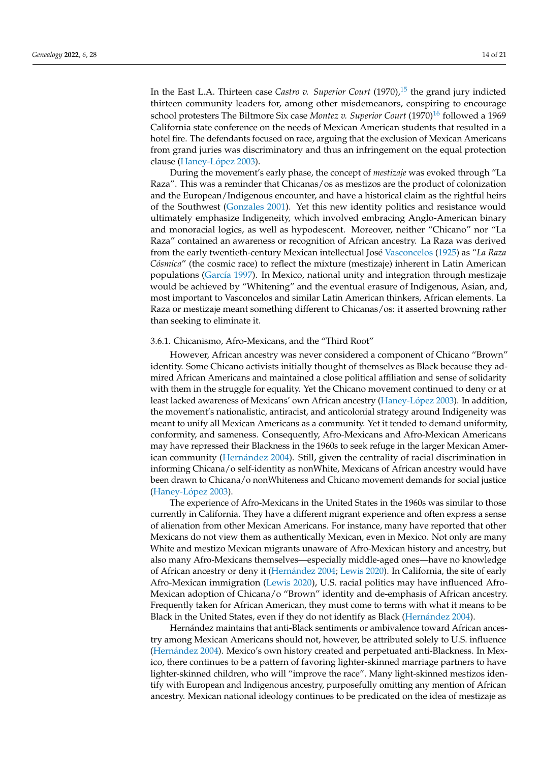<span id="page-13-1"></span><span id="page-13-0"></span>In the East L.A. Thirteen case *Castro v. Superior Court* (1970),<sup>[15](#page-17-16)</sup> the grand jury indicted thirteen community leaders for, among other misdemeanors, conspiring to encourage school protesters The Biltmore Six case *Montez v. Superior Court* (1970)<sup>[16](#page-17-17)</sup> followed a 1969 California state conference on the needs of Mexican American students that resulted in a hotel fire. The defendants focused on race, arguing that the exclusion of Mexican Americans from grand juries was discriminatory and thus an infringement on the equal protection clause [\(Haney-L](#page-18-15)ópez [2003\)](#page-18-15).

During the movement's early phase, the concept of *mestizaje* was evoked through "La Raza". This was a reminder that Chicanas/os as mestizos are the product of colonization and the European/Indigenous encounter, and have a historical claim as the rightful heirs of the Southwest [\(Gonzales](#page-18-34) [2001\)](#page-18-34). Yet this new identity politics and resistance would ultimately emphasize Indigeneity, which involved embracing Anglo-American binary and monoracial logics, as well as hypodescent. Moreover, neither "Chicano" nor "La Raza" contained an awareness or recognition of African ancestry. La Raza was derived from the early twentieth-century Mexican intellectual José [Vasconcelos](#page-20-24) [\(1925\)](#page-20-24) as "*La Raza Cósmica*" (the cosmic race) to reflect the mixture (mestizaje) inherent in Latin American populations [\(Garc](#page-18-35)ía [1997\)](#page-18-35). In Mexico, national unity and integration through mestizaje would be achieved by "Whitening" and the eventual erasure of Indigenous, Asian, and, most important to Vasconcelos and similar Latin American thinkers, African elements. La Raza or mestizaje meant something different to Chicanas/os: it asserted browning rather than seeking to eliminate it.

## 3.6.1. Chicanismo, Afro-Mexicans, and the "Third Root"

However, African ancestry was never considered a component of Chicano "Brown" identity. Some Chicano activists initially thought of themselves as Black because they admired African Americans and maintained a close political affiliation and sense of solidarity with them in the struggle for equality. Yet the Chicano movement continued to deny or at least lacked awareness of Mexicans' own African ancestry [\(Haney-L](#page-18-15)ópez [2003\)](#page-18-15). In addition, the movement's nationalistic, antiracist, and anticolonial strategy around Indigeneity was meant to unify all Mexican Americans as a community. Yet it tended to demand uniformity, conformity, and sameness. Consequently, Afro-Mexicans and Afro-Mexican Americans may have repressed their Blackness in the 1960s to seek refuge in the larger Mexican American community [\(Hern](#page-18-19)ández [2004\)](#page-18-19). Still, given the centrality of racial discrimination in informing Chicana/o self-identity as nonWhite, Mexicans of African ancestry would have been drawn to Chicana/o nonWhiteness and Chicano movement demands for social justice [\(Haney-L](#page-18-15)ópez [2003\)](#page-18-15).

The experience of Afro-Mexicans in the United States in the 1960s was similar to those currently in California. They have a different migrant experience and often express a sense of alienation from other Mexican Americans. For instance, many have reported that other Mexicans do not view them as authentically Mexican, even in Mexico. Not only are many White and mestizo Mexican migrants unaware of Afro-Mexican history and ancestry, but also many Afro-Mexicans themselves—especially middle-aged ones—have no knowledge of African ancestry or deny it [\(Hern](#page-18-19)ández [2004;](#page-18-19) [Lewis](#page-19-34) [2020\)](#page-19-34). In California, the site of early Afro-Mexican immigration [\(Lewis](#page-19-34) [2020\)](#page-19-34), U.S. racial politics may have influenced Afro-Mexican adoption of Chicana/o "Brown" identity and de-emphasis of African ancestry. Frequently taken for African American, they must come to terms with what it means to be Black in the United States, even if they do not identify as Black [\(Hern](#page-18-19)ández [2004\)](#page-18-19).

Hernández maintains that anti-Black sentiments or ambivalence toward African ancestry among Mexican Americans should not, however, be attributed solely to U.S. influence [\(Hern](#page-18-19)ández [2004\)](#page-18-19). Mexico's own history created and perpetuated anti-Blackness. In Mexico, there continues to be a pattern of favoring lighter-skinned marriage partners to have lighter-skinned children, who will "improve the race". Many light-skinned mestizos identify with European and Indigenous ancestry, purposefully omitting any mention of African ancestry. Mexican national ideology continues to be predicated on the idea of mestizaje as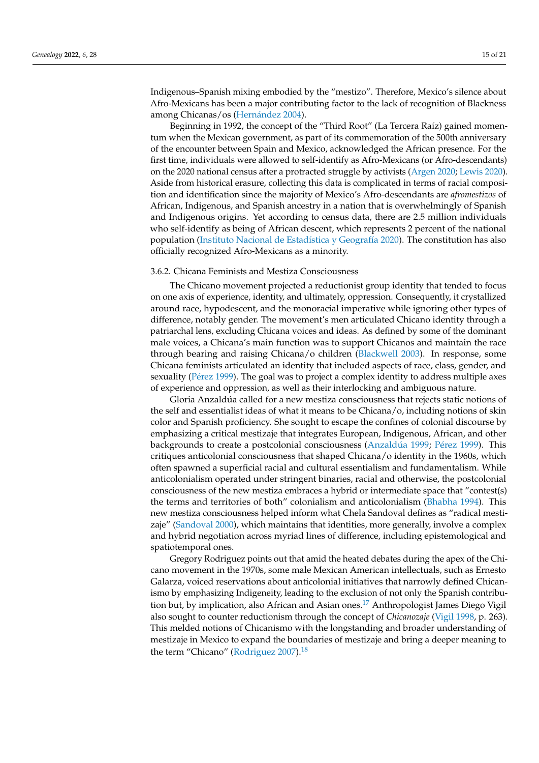Indigenous–Spanish mixing embodied by the "mestizo". Therefore, Mexico's silence about Afro-Mexicans has been a major contributing factor to the lack of recognition of Blackness among Chicanas/os [\(Hern](#page-18-19)ández [2004\)](#page-18-19).

Beginning in 1992, the concept of the "Third Root" (La Tercera Raíz) gained momentum when the Mexican government, as part of its commemoration of the 500th anniversary of the encounter between Spain and Mexico, acknowledged the African presence. For the first time, individuals were allowed to self-identify as Afro-Mexicans (or Afro-descendants) on the 2020 national census after a protracted struggle by activists [\(Argen](#page-17-18) [2020;](#page-17-18) [Lewis](#page-19-34) [2020\)](#page-19-34). Aside from historical erasure, collecting this data is complicated in terms of racial composition and identification since the majority of Mexico's Afro-descendants are *afromestizos* of African, Indigenous, and Spanish ancestry in a nation that is overwhelmingly of Spanish and Indigenous origins. Yet according to census data, there are 2.5 million individuals who self-identify as being of African descent, which represents 2 percent of the national population [\(Instituto Nacional de Estad](#page-19-35)ística y Geografía [2020\)](#page-19-35). The constitution has also officially recognized Afro-Mexicans as a minority.

## 3.6.2. Chicana Feminists and Mestiza Consciousness

The Chicano movement projected a reductionist group identity that tended to focus on one axis of experience, identity, and ultimately, oppression. Consequently, it crystallized around race, hypodescent, and the monoracial imperative while ignoring other types of difference, notably gender. The movement's men articulated Chicano identity through a patriarchal lens, excluding Chicana voices and ideas. As defined by some of the dominant male voices, a Chicana's main function was to support Chicanos and maintain the race through bearing and raising Chicana/o children [\(Blackwell](#page-17-19) [2003\)](#page-17-19). In response, some Chicana feminists articulated an identity that included aspects of race, class, gender, and sexuality (Pé[rez](#page-19-36) [1999\)](#page-19-36). The goal was to project a complex identity to address multiple axes of experience and oppression, as well as their interlocking and ambiguous nature.

Gloria Anzaldúa called for a new mestiza consciousness that rejects static notions of the self and essentialist ideas of what it means to be Chicana/o, including notions of skin color and Spanish proficiency. She sought to escape the confines of colonial discourse by emphasizing a critical mestizaje that integrates European, Indigenous, African, and other backgrounds to create a postcolonial consciousness [\(Anzald](#page-17-20)úa [1999;](#page-17-20) Pé[rez](#page-19-36) [1999\)](#page-19-36). This critiques anticolonial consciousness that shaped Chicana/o identity in the 1960s, which often spawned a superficial racial and cultural essentialism and fundamentalism. While anticolonialism operated under stringent binaries, racial and otherwise, the postcolonial consciousness of the new mestiza embraces a hybrid or intermediate space that "contest(s) the terms and territories of both" colonialism and anticolonialism [\(Bhabha](#page-17-21) [1994\)](#page-17-21). This new mestiza consciousness helped inform what Chela Sandoval defines as "radical mestizaje" [\(Sandoval](#page-20-25) [2000\)](#page-20-25), which maintains that identities, more generally, involve a complex and hybrid negotiation across myriad lines of difference, including epistemological and spatiotemporal ones.

<span id="page-14-1"></span><span id="page-14-0"></span>Gregory Rodriguez points out that amid the heated debates during the apex of the Chicano movement in the 1970s, some male Mexican American intellectuals, such as Ernesto Galarza, voiced reservations about anticolonial initiatives that narrowly defined Chicanismo by emphasizing Indigeneity, leading to the exclusion of not only the Spanish contribution but, by implication, also African and Asian ones.[17](#page-17-22) Anthropologist James Diego Vigil also sought to counter reductionism through the concept of *Chicanozaje* [\(Vigil](#page-20-26) [1998,](#page-20-26) p. 263). This melded notions of Chicanismo with the longstanding and broader understanding of mestizaje in Mexico to expand the boundaries of mestizaje and bring a deeper meaning to the term "Chicano" [\(Rodriguez](#page-20-27) [2007\)](#page-20-27). $18$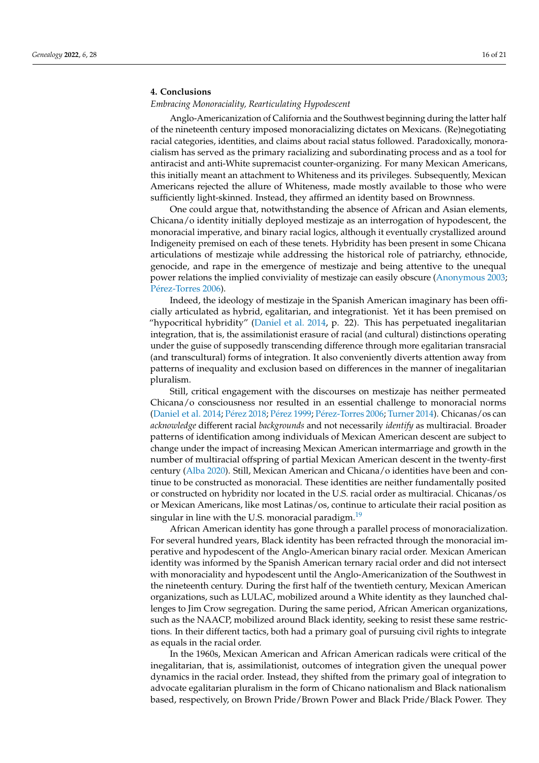## **4. Conclusions**

## *Embracing Monoraciality, Rearticulating Hypodescent*

Anglo-Americanization of California and the Southwest beginning during the latter half of the nineteenth century imposed monoracializing dictates on Mexicans. (Re)negotiating racial categories, identities, and claims about racial status followed. Paradoxically, monoracialism has served as the primary racializing and subordinating process and as a tool for antiracist and anti-White supremacist counter-organizing. For many Mexican Americans, this initially meant an attachment to Whiteness and its privileges. Subsequently, Mexican Americans rejected the allure of Whiteness, made mostly available to those who were sufficiently light-skinned. Instead, they affirmed an identity based on Brownness.

One could argue that, notwithstanding the absence of African and Asian elements, Chicana/o identity initially deployed mestizaje as an interrogation of hypodescent, the monoracial imperative, and binary racial logics, although it eventually crystallized around Indigeneity premised on each of these tenets. Hybridity has been present in some Chicana articulations of mestizaje while addressing the historical role of patriarchy, ethnocide, genocide, and rape in the emergence of mestizaje and being attentive to the unequal power relations the implied conviviality of mestizaje can easily obscure [\(Anonymous](#page-17-24) [2003;](#page-17-24) Pé[rez-Torres](#page-19-37) [2006\)](#page-19-37).

Indeed, the ideology of mestizaje in the Spanish American imaginary has been officially articulated as hybrid, egalitarian, and integrationist. Yet it has been premised on "hypocritical hybridity" [\(Daniel et al.](#page-18-36) [2014,](#page-18-36) p. 22). This has perpetuated inegalitarian integration, that is, the assimilationist erasure of racial (and cultural) distinctions operating under the guise of supposedly transcending difference through more egalitarian transracial (and transcultural) forms of integration. It also conveniently diverts attention away from patterns of inequality and exclusion based on differences in the manner of inegalitarian pluralism.

Still, critical engagement with the discourses on mestizaje has neither permeated Chicana/o consciousness nor resulted in an essential challenge to monoracial norms [\(Daniel et al.](#page-18-36) [2014;](#page-18-36) Pé[rez](#page-19-22) [2018;](#page-19-22) Pé[rez](#page-19-36) [1999;](#page-19-36) Pé[rez-Torres](#page-19-37) [2006;](#page-19-37) [Turner](#page-20-28) [2014\)](#page-20-28). Chicanas/os can *acknowledge* different racial *backgrounds* and not necessarily *identify* as multiracial. Broader patterns of identification among individuals of Mexican American descent are subject to change under the impact of increasing Mexican American intermarriage and growth in the number of multiracial offspring of partial Mexican American descent in the twenty-first century [\(Alba](#page-17-25) [2020\)](#page-17-25). Still, Mexican American and Chicana/o identities have been and continue to be constructed as monoracial. These identities are neither fundamentally posited or constructed on hybridity nor located in the U.S. racial order as multiracial. Chicanas/os or Mexican Americans, like most Latinas/os, continue to articulate their racial position as singular in line with the U.S. monoracial paradigm.<sup>[19](#page-17-26)</sup>

<span id="page-15-0"></span>African American identity has gone through a parallel process of monoracialization. For several hundred years, Black identity has been refracted through the monoracial imperative and hypodescent of the Anglo-American binary racial order. Mexican American identity was informed by the Spanish American ternary racial order and did not intersect with monoraciality and hypodescent until the Anglo-Americanization of the Southwest in the nineteenth century. During the first half of the twentieth century, Mexican American organizations, such as LULAC, mobilized around a White identity as they launched challenges to Jim Crow segregation. During the same period, African American organizations, such as the NAACP, mobilized around Black identity, seeking to resist these same restrictions. In their different tactics, both had a primary goal of pursuing civil rights to integrate as equals in the racial order.

In the 1960s, Mexican American and African American radicals were critical of the inegalitarian, that is, assimilationist, outcomes of integration given the unequal power dynamics in the racial order. Instead, they shifted from the primary goal of integration to advocate egalitarian pluralism in the form of Chicano nationalism and Black nationalism based, respectively, on Brown Pride/Brown Power and Black Pride/Black Power. They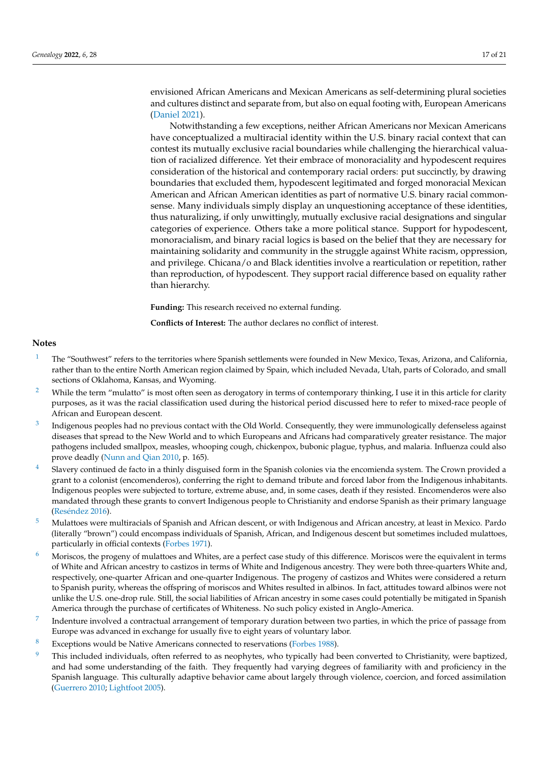envisioned African Americans and Mexican Americans as self-determining plural societies and cultures distinct and separate from, but also on equal footing with, European Americans [\(Daniel](#page-18-37) [2021\)](#page-18-37).

Notwithstanding a few exceptions, neither African Americans nor Mexican Americans have conceptualized a multiracial identity within the U.S. binary racial context that can contest its mutually exclusive racial boundaries while challenging the hierarchical valuation of racialized difference. Yet their embrace of monoraciality and hypodescent requires consideration of the historical and contemporary racial orders: put succinctly, by drawing boundaries that excluded them, hypodescent legitimated and forged monoracial Mexican American and African American identities as part of normative U.S. binary racial commonsense. Many individuals simply display an unquestioning acceptance of these identities, thus naturalizing, if only unwittingly, mutually exclusive racial designations and singular categories of experience. Others take a more political stance. Support for hypodescent, monoracialism, and binary racial logics is based on the belief that they are necessary for maintaining solidarity and community in the struggle against White racism, oppression, and privilege. Chicana/o and Black identities involve a rearticulation or repetition, rather than reproduction, of hypodescent. They support racial difference based on equality rather than hierarchy.

**Funding:** This research received no external funding.

**Conflicts of Interest:** The author declares no conflict of interest.

## **Notes**

- <span id="page-16-0"></span><sup>[1](#page-2-0)</sup> The "Southwest" refers to the territories where Spanish settlements were founded in New Mexico, Texas, Arizona, and California, rather than to the entire North American region claimed by Spain, which included Nevada, Utah, parts of Colorado, and small sections of Oklahoma, Kansas, and Wyoming.
- <span id="page-16-1"></span><sup>[2](#page-2-1)</sup> While the term "mulatto" is most often seen as derogatory in terms of contemporary thinking, I use it in this article for clarity purposes, as it was the racial classification used during the historical period discussed here to refer to mixed-race people of African and European descent.
- <span id="page-16-2"></span>[3](#page-2-2) Indigenous peoples had no previous contact with the Old World. Consequently, they were immunologically defenseless against diseases that spread to the New World and to which Europeans and Africans had comparatively greater resistance. The major pathogens included smallpox, measles, whooping cough, chickenpox, bubonic plague, typhus, and malaria. Influenza could also prove deadly [\(Nunn and Qian](#page-19-38) [2010,](#page-19-38) p. 165).
- <span id="page-16-3"></span>[4](#page-2-3) Slavery continued de facto in a thinly disguised form in the Spanish colonies via the encomienda system. The Crown provided a grant to a colonist (encomenderos), conferring the right to demand tribute and forced labor from the Indigenous inhabitants. Indigenous peoples were subjected to torture, extreme abuse, and, in some cases, death if they resisted. Encomenderos were also mandated through these grants to convert Indigenous people to Christianity and endorse Spanish as their primary language (Resé[ndez](#page-19-16) [2016\)](#page-19-16).
- <span id="page-16-4"></span><sup>[5](#page-3-0)</sup> Mulattoes were multiracials of Spanish and African descent, or with Indigenous and African ancestry, at least in Mexico. Pardo (literally "brown") could encompass individuals of Spanish, African, and Indigenous descent but sometimes included mulattoes, particularly in official contexts [\(Forbes](#page-18-14) [1971\)](#page-18-14).
- <span id="page-16-5"></span>Moriscos, the progeny of mulattoes and Whites, are a perfect case study of this difference. Moriscos were the equivalent in terms of White and African ancestry to castizos in terms of White and Indigenous ancestry. They were both three-quarters White and, respectively, one-quarter African and one-quarter Indigenous. The progeny of castizos and Whites were considered a return to Spanish purity, whereas the offspring of moriscos and Whites resulted in albinos. In fact, attitudes toward albinos were not unlike the U.S. one-drop rule. Still, the social liabilities of African ancestry in some cases could potentially be mitigated in Spanish America through the purchase of certificates of Whiteness. No such policy existed in Anglo-America.
- <span id="page-16-6"></span>[7](#page-4-0) Indenture involved a contractual arrangement of temporary duration between two parties, in which the price of passage from Europe was advanced in exchange for usually five to eight years of voluntary labor.
- <span id="page-16-7"></span>[8](#page-6-0) Exceptions would be Native Americans connected to reservations [\(Forbes](#page-18-10) [1988\)](#page-18-10).
- <span id="page-16-8"></span>This included individuals, often referred to as neophytes, who typically had been converted to Christianity, were baptized, and had some understanding of the faith. They frequently had varying degrees of familiarity with and proficiency in the Spanish language. This culturally adaptive behavior came about largely through violence, coercion, and forced assimilation [\(Guerrero](#page-18-8) [2010;](#page-18-8) [Lightfoot](#page-19-26) [2005\)](#page-19-26).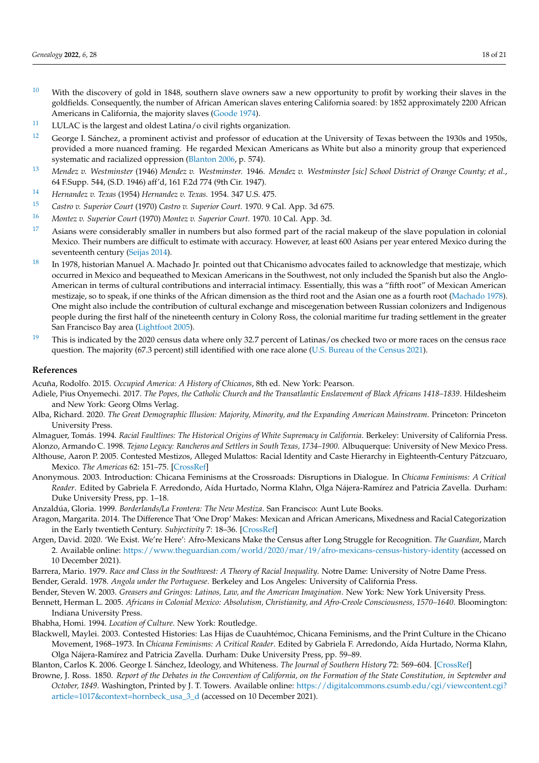- <span id="page-17-7"></span> $10$  With the discovery of gold in 1848, southern slave owners saw a new opportunity to profit by working their slaves in the goldfields. Consequently, the number of African American slaves entering California soared: by 1852 approximately 2200 African Americans in California, the majority slaves [\(Goode](#page-18-16) [1974\)](#page-18-16).
- <span id="page-17-9"></span> $11$  LULAC is the largest and oldest Latina/o civil rights organization.
- <span id="page-17-11"></span> $12$  George I. Sánchez, a prominent activist and professor of education at the University of Texas between the 1930s and 1950s, provided a more nuanced framing. He regarded Mexican Americans as White but also a minority group that experienced systematic and racialized oppression [\(Blanton](#page-17-27) [2006,](#page-17-27) p. 574).
- <span id="page-17-14"></span>[13](#page-12-0) *Mendez v. Westminster* (1946) *Mendez v. Westminster.* 1946. *Mendez v. Westminster [sic] School District of Orange County; et al.*, 64 F.Supp. 544, (S.D. 1946) aff'd, 161 F.2d 774 (9th Cir. 1947).
- <span id="page-17-15"></span>[14](#page-12-1) *Hernandez v. Texas* (1954) *Hernandez v. Texas.* 1954. 347 U.S. 475.
- <span id="page-17-16"></span>[15](#page-13-0) *Castro v. Superior Court* (1970) *Castro v. Superior Court.* 1970. 9 Cal. App. 3d 675.
- <span id="page-17-17"></span>[16](#page-13-1) *Montez v. Superior Court* (1970) *Montez v. Superior Court.* 1970. 10 Cal. App. 3d.
- <span id="page-17-22"></span> $17$  Asians were considerably smaller in numbers but also formed part of the racial makeup of the slave population in colonial Mexico. Their numbers are difficult to estimate with accuracy. However, at least 600 Asians per year entered Mexico during the seventeenth century [\(Seijas](#page-20-29) [2014\)](#page-20-29).
- <span id="page-17-23"></span> $18$  In 1978, historian Manuel A. Machado Jr. pointed out that Chicanismo advocates failed to acknowledge that mestizaje, which occurred in Mexico and bequeathed to Mexican Americans in the Southwest, not only included the Spanish but also the Anglo-American in terms of cultural contributions and interracial intimacy. Essentially, this was a "fifth root" of Mexican American mestizaje, so to speak, if one thinks of the African dimension as the third root and the Asian one as a fourth root [\(Machado](#page-19-39) [1978\)](#page-19-39). One might also include the contribution of cultural exchange and miscegenation between Russian colonizers and Indigenous people during the first half of the nineteenth century in Colony Ross, the colonial maritime fur trading settlement in the greater San Francisco Bay area [\(Lightfoot](#page-19-26) [2005\)](#page-19-26).
- <span id="page-17-26"></span> $19$  This is indicated by the 2020 census data where only 32.7 percent of Latinas/os checked two or more races on the census race question. The majority (67.3 percent) still identified with one race alone [\(U.S. Bureau of the Census](#page-20-30) [2021\)](#page-20-30).

#### **References**

<span id="page-17-10"></span>Acuña, Rodolfo. 2015. *Occupied America: A History of Chicanos*, 8th ed. New York: Pearson.

- <span id="page-17-0"></span>Adiele, Pius Onyemechi. 2017. *The Popes, the Catholic Church and the Transatlantic Enslavement of Black Africans 1418–1839*. Hildesheim and New York: Georg Olms Verlag.
- <span id="page-17-25"></span>Alba, Richard. 2020. *The Great Demographic Illusion: Majority, Minority, and the Expanding American Mainstream*. Princeton: Princeton University Press.

<span id="page-17-5"></span>Almaguer, Tomás. 1994. *Racial Faultlines: The Historical Origins of White Supremacy in California*. Berkeley: University of California Press.

- <span id="page-17-4"></span><span id="page-17-3"></span>Alonzo, Armando C. 1998. *Tejano Legacy: Rancheros and Settlers in South Texas, 1734–1900*. Albuquerque: University of New Mexico Press. Althouse, Aaron P. 2005. Contested Mestizos, Alleged Mulattos: Racial Identity and Caste Hierarchy in Eighteenth-Century Pátzcuaro,
- Mexico. *The Americas* 62: 151–75. [\[CrossRef\]](http://doi.org/10.1353/tam.2005.0155)
- <span id="page-17-24"></span>Anonymous. 2003. Introduction: Chicana Feminisms at the Crossroads: Disruptions in Dialogue. In *Chicana Feminisms: A Critical Reader*. Edited by Gabriela F. Arredondo, Aída Hurtado, Norma Klahn, Olga Nájera-Ramírez and Patricia Zavella. Durham: Duke University Press, pp. 1–18.
- <span id="page-17-20"></span>Anzaldúa, Gloria. 1999. *Borderlands/La Frontera: The New Mestiza*. San Francisco: Aunt Lute Books.
- <span id="page-17-12"></span>Aragon, Margarita. 2014. The Difference That 'One Drop' Makes: Mexican and African Americans, Mixedness and Racial Categorization in the Early twentieth Century. *Subjectivity* 7: 18–36. [\[CrossRef\]](http://doi.org/10.1057/sub.2014.1)
- <span id="page-17-18"></span>Argen, David. 2020. 'We Exist. We're Here': Afro-Mexicans Make the Census after Long Struggle for Recognition. *The Guardian*, March 2. Available online: <https://www.theguardian.com/world/2020/mar/19/afro-mexicans-census-history-identity> (accessed on 10 December 2021).
- <span id="page-17-13"></span><span id="page-17-1"></span>Barrera, Mario. 1979. *Race and Class in the Southwest: A Theory of Racial Inequality*. Notre Dame: University of Notre Dame Press.

Bender, Gerald. 1978. *Angola under the Portuguese*. Berkeley and Los Angeles: University of California Press.

- <span id="page-17-8"></span><span id="page-17-2"></span>Bender, Steven W. 2003. *Greasers and Gringos: Latinos, Law, and the American Imagination*. New York: New York University Press.
- Bennett, Herman L. 2005. *Africans in Colonial Mexico: Absolutism, Christianity, and Afro-Creole Consciousness, 1570–1640*. Bloomington: Indiana University Press.
- <span id="page-17-21"></span>Bhabha, Homi. 1994. *Location of Culture*. New York: Routledge.
- <span id="page-17-19"></span>Blackwell, Maylei. 2003. Contested Histories: Las Hijas de Cuauhtémoc, Chicana Feminisms, and the Print Culture in the Chicano Movement, 1968–1973. In *Chicana Feminisms: A Critical Reader*. Edited by Gabriela F. Arredondo, Aída Hurtado, Norma Klahn, Olga Nájera-Ramírez and Patricia Zavella. Durham: Duke University Press, pp. 59–89.

<span id="page-17-27"></span>Blanton, Carlos K. 2006. George I. Sánchez, Ideology, and Whiteness. *The Journal of Southern History* 72: 569–604. [\[CrossRef\]](http://doi.org/10.2307/27649149)

<span id="page-17-6"></span>Browne, J. Ross. 1850. *Report of the Debates in the Convention of California, on the Formation of the State Constitution, in September and October, 1849*. Washington, Printed by J. T. Towers. Available online: [https://digitalcommons.csumb.edu/cgi/viewcontent.cgi?](https://digitalcommons.csumb.edu/cgi/viewcontent.cgi?article=1017&context=hornbeck_usa_3_d) [article=1017&context=hornbeck\\_usa\\_3\\_d](https://digitalcommons.csumb.edu/cgi/viewcontent.cgi?article=1017&context=hornbeck_usa_3_d) (accessed on 10 December 2021).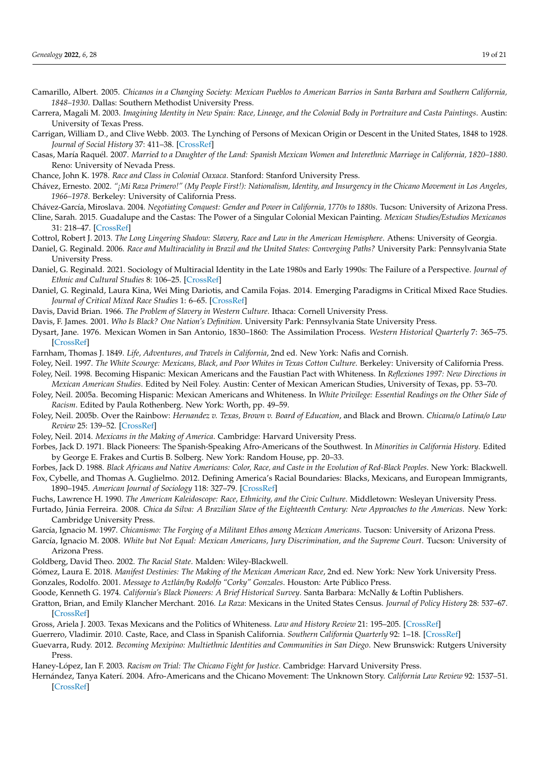- <span id="page-18-17"></span>Camarillo, Albert. 2005. *Chicanos in a Changing Society: Mexican Pueblos to American Barrios in Santa Barbara and Southern California, 1848–1930*. Dallas: Southern Methodist University Press.
- <span id="page-18-6"></span>Carrera, Magali M. 2003. *Imagining Identity in New Spain: Race, Lineage, and the Colonial Body in Portraiture and Casta Paintings*. Austin: University of Texas Press.
- <span id="page-18-31"></span>Carrigan, William D., and Clive Webb. 2003. The Lynching of Persons of Mexican Origin or Descent in the United States, 1848 to 1928. *Journal of Social History* 37: 411–38. [\[CrossRef\]](http://doi.org/10.1353/jsh.2003.0169)
- <span id="page-18-12"></span>Casas, María Raquél. 2007. *Married to a Daughter of the Land: Spanish Mexican Women and Interethnic Marriage in California, 1820–1880*. Reno: University of Nevada Press.
- <span id="page-18-7"></span>Chance, John K. 1978. *Race and Class in Colonial Oaxaca*. Stanford: Stanford University Press.
- <span id="page-18-33"></span>Chávez, Ernesto. 2002. *"¡Mi Raza Primero!" (My People First!): Nationalism, Identity, and Insurgency in the Chicano Movement in Los Angeles, 1966–1978*. Berkeley: University of California Press.
- <span id="page-18-13"></span>Chávez-García, Miroslava. 2004. *Negotiating Conquest: Gender and Power in California, 1770s to 1880s*. Tucson: University of Arizona Press.
- <span id="page-18-4"></span>Cline, Sarah. 2015. Guadalupe and the Castas: The Power of a Singular Colonial Mexican Painting. *Mexican Studies/Estudios Mexicanos* 31: 218–47. [\[CrossRef\]](http://doi.org/10.1525/mex.2015.31.2.218)
- <span id="page-18-2"></span>Cottrol, Robert J. 2013. *The Long Lingering Shadow: Slavery, Race and Law in the American Hemisphere*. Athens: University of Georgia.
- <span id="page-18-0"></span>Daniel, G. Reginald. 2006. *Race and Multiraciality in Brazil and the United States: Converging Paths?* University Park: Pennsylvania State University Press.
- <span id="page-18-37"></span>Daniel, G. Reginald. 2021. Sociology of Multiracial Identity in the Late 1980s and Early 1990s: The Failure of a Perspective. *Journal of Ethnic and Cultural Studies* 8: 106–25. [\[CrossRef\]](http://doi.org/10.29333/ejecs/643)
- <span id="page-18-36"></span>Daniel, G. Reginald, Laura Kina, Wei Ming Dariotis, and Camila Fojas. 2014. Emerging Paradigms in Critical Mixed Race Studies. *Journal of Critical Mixed Race Studies* 1: 6–65. [\[CrossRef\]](http://doi.org/10.5070/C811013868)
- <span id="page-18-3"></span>Davis, David Brian. 1966. *The Problem of Slavery in Western Culture*. Ithaca: Cornell University Press.
- <span id="page-18-9"></span>Davis, F. James. 2001. *Who Is Black? One Nation's Definition*. University Park: Pennsylvania State University Press.
- <span id="page-18-18"></span>Dysart, Jane. 1976. Mexican Women in San Antonio, 1830–1860: The Assimilation Process. *Western Historical Quarterly* 7: 365–75. [\[CrossRef\]](http://doi.org/10.2307/968057)
- <span id="page-18-20"></span>Farnham, Thomas J. 1849. *Life, Adventures, and Travels in California*, 2nd ed. New York: Nafis and Cornish.
- <span id="page-18-25"></span>Foley, Neil. 1997. *The White Scourge: Mexicans, Black, and Poor Whites in Texas Cotton Culture*. Berkeley: University of California Press.
- <span id="page-18-29"></span>Foley, Neil. 1998. Becoming Hispanic: Mexican Americans and the Faustian Pact with Whiteness. In *Reflexiones 1997: New Directions in Mexican American Studies*. Edited by Neil Foley. Austin: Center of Mexican American Studies, University of Texas, pp. 53–70.
- <span id="page-18-28"></span>Foley, Neil. 2005a. Becoming Hispanic: Mexican Americans and Whiteness. In *White Privilege: Essential Readings on the Other Side of Racism*. Edited by Paula Rothenberg. New York: Worth, pp. 49–59.
- <span id="page-18-27"></span>Foley, Neil. 2005b. Over the Rainbow: *Hernandez v. Texas, Brown v. Board of Education*, and Black and Brown. *Chicana/o Latina/o Law Review* 25: 139–52. [\[CrossRef\]](http://doi.org/10.5070/C7251021158)
- <span id="page-18-23"></span>Foley, Neil. 2014. *Mexicans in the Making of America*. Cambridge: Harvard University Press.
- <span id="page-18-14"></span>Forbes, Jack D. 1971. Black Pioneers: The Spanish-Speaking Afro-Americans of the Southwest. In *Minorities in California History*. Edited by George E. Frakes and Curtis B. Solberg. New York: Random House, pp. 20–33.
- <span id="page-18-32"></span><span id="page-18-10"></span>Forbes, Jack D. 1988. *Black Africans and Native Americans: Color, Race, and Caste in the Evolution of Red-Black Peoples*. New York: Blackwell. Fox, Cybelle, and Thomas A. Guglielmo. 2012. Defining America's Racial Boundaries: Blacks, Mexicans, and European Immigrants,
- 1890–1945. *American Journal of Sociology* 118: 327–79. [\[CrossRef\]](http://doi.org/10.1086/666383)
- <span id="page-18-24"></span>Fuchs, Lawrence H. 1990. *The American Kaleidoscope: Race, Ethnicity, and the Civic Culture*. Middletown: Wesleyan University Press.
- <span id="page-18-5"></span>Furtado, Júnia Ferreira. 2008. *Chica da Silva: A Brazilian Slave of the Eighteenth Century: New Approaches to the Americas*. New York: Cambridge University Press.
- <span id="page-18-35"></span>García, Ignacio M. 1997. *Chicanismo: The Forging of a Militant Ethos among Mexican Americans*. Tucson: University of Arizona Press.
- <span id="page-18-26"></span>García, Ignacio M. 2008. *White but Not Equal: Mexican Americans, Jury Discrimination, and the Supreme Court*. Tucson: University of Arizona Press.
- <span id="page-18-1"></span>Goldberg, David Theo. 2002. *The Racial State*. Malden: Wiley-Blackwell.
- <span id="page-18-34"></span><span id="page-18-22"></span>Gómez, Laura E. 2018. *Manifest Destinies: The Making of the Mexican American Race*, 2nd ed. New York: New York University Press. Gonzales, Rodolfo. 2001. *Message to Aztlán/by Rodolfo "Corky" Gonzales*. Houston: Arte Público Press.
- <span id="page-18-16"></span>Goode, Kenneth G. 1974. *California's Black Pioneers: A Brief Historical Survey*. Santa Barbara: McNally & Loftin Publishers.
- <span id="page-18-30"></span>Gratton, Brian, and Emily Klancher Merchant. 2016. *La Raza*: Mexicans in the United States Census. *Journal of Policy History* 28: 537–67.
	- [\[CrossRef\]](http://doi.org/10.1017/S0898030616000257)
- <span id="page-18-21"></span>Gross, Ariela J. 2003. Texas Mexicans and the Politics of Whiteness. *Law and History Review* 21: 195–205. [\[CrossRef\]](http://doi.org/10.2307/3595072)
- <span id="page-18-8"></span>Guerrero, Vladimir. 2010. Caste, Race, and Class in Spanish California. *Southern California Quarterly* 92: 1–18. [\[CrossRef\]](http://doi.org/10.2307/41172505)
- <span id="page-18-11"></span>Guevarra, Rudy. 2012. *Becoming Mexipino: Multiethnic Identities and Communities in San Diego*. New Brunswick: Rutgers University Press.
- <span id="page-18-15"></span>Haney-López, Ian F. 2003. *Racism on Trial: The Chicano Fight for Justice*. Cambridge: Harvard University Press.
- <span id="page-18-19"></span>Hernández, Tanya Katerí. 2004. Afro-Americans and the Chicano Movement: The Unknown Story. *California Law Review* 92: 1537–51. [\[CrossRef\]](http://doi.org/10.2307/3481424)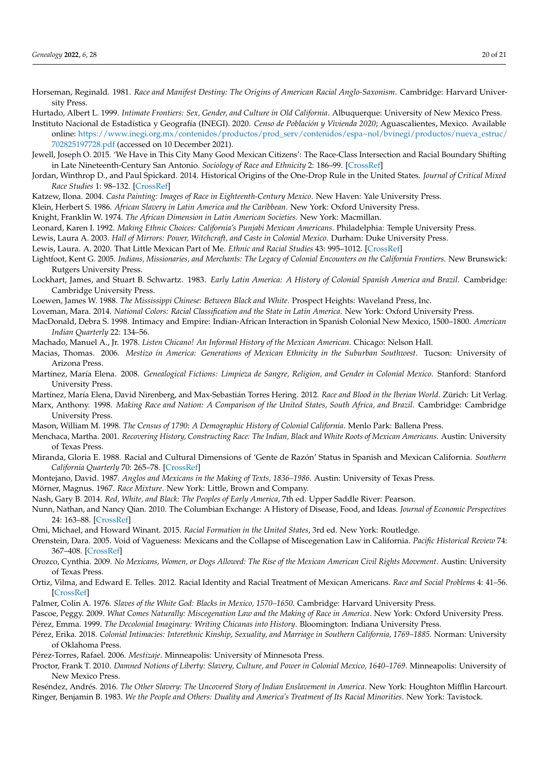- <span id="page-19-28"></span>Horseman, Reginald. 1981. *Race and Manifest Destiny: The Origins of American Racial Anglo-Saxonism*. Cambridge: Harvard University Press.
- <span id="page-19-25"></span>Hurtado, Albert L. 1999. *Intimate Frontiers: Sex, Gender, and Culture in Old California*. Albuquerque: University of New Mexico Press.
- <span id="page-19-35"></span>Instituto Nacional de Estadística y Geografía (INEGI). 2020. *Censo de Población y Vivienda 2020*; Aguascalientes, Mexico. Available online: [https://www.inegi.org.mx/contenidos/productos/prod\\_serv/contenidos/espa~nol/bvinegi/productos/nueva\\_estruc/](https://www.inegi.org.mx/contenidos/productos/prod_serv/contenidos/espa~nol/bvinegi/productos/nueva_estruc/702825197728.pdf) [702825197728.pdf](https://www.inegi.org.mx/contenidos/productos/prod_serv/contenidos/espa~nol/bvinegi/productos/nueva_estruc/702825197728.pdf) (accessed on 10 December 2021).
- <span id="page-19-33"></span>Jewell, Joseph O. 2015. 'We Have in This City Many Good Mexican Citizens': The Race-Class Intersection and Racial Boundary Shifting in Late Nineteenth-Century San Antonio. *Sociology of Race and Ethnicity* 2: 186–99. [\[CrossRef\]](http://doi.org/10.1177/2332649215614868)
- <span id="page-19-19"></span>Jordan, Winthrop D., and Paul Spickard. 2014. Historical Origins of the One-Drop Rule in the United States. *Journal of Critical Mixed Race Studies* 1: 98–132. [\[CrossRef\]](http://doi.org/10.5070/C811013867)
- <span id="page-19-8"></span>Katzew, Ilona. 2004. *Casta Painting: Images of Race in Eighteenth-Century Mexico*. New Haven: Yale University Press.
- <span id="page-19-14"></span>Klein, Herbert S. 1986. *African Slavery in Latin America and the Caribbean*. New York: Oxford University Press.
- <span id="page-19-2"></span>Knight, Franklin W. 1974. *The African Dimension in Latin American Societies*. New York: Macmillan.
- <span id="page-19-21"></span><span id="page-19-11"></span>Leonard, Karen I. 1992. *Making Ethnic Choices: California's Punjabi Mexican Americans*. Philadelphia: Temple University Press.
- Lewis, Laura A. 2003. *Hall of Mirrors: Power, Witchcraft, and Caste in Colonial Mexico*. Durham: Duke University Press.
- <span id="page-19-34"></span>Lewis, Laura. A. 2020. That Little Mexican Part of Me. *Ethnic and Racial Studies* 43: 995–1012. [\[CrossRef\]](http://doi.org/10.1080/01419870.2019.1626016)
- <span id="page-19-26"></span>Lightfoot, Kent G. 2005. *Indians, Missionaries, and Merchants: The Legacy of Colonial Encounters on the California Frontiers*. New Brunswick: Rutgers University Press.
- <span id="page-19-4"></span>Lockhart, James, and Stuart B. Schwartz. 1983. *Early Latin America: A History of Colonial Spanish America and Brazil*. Cambridge: Cambridge University Press.
- <span id="page-19-20"></span>Loewen, James W. 1988. *The Mississippi Chinese: Between Black and White*. Prospect Heights: Waveland Press, Inc.
- <span id="page-19-23"></span><span id="page-19-0"></span>Loveman, Mara. 2014. *National Colors: Racial Classification and the State in Latin America*. New York: Oxford University Press.
- MacDonald, Debra S. 1998. Intimacy and Empire: Indian-African Interaction in Spanish Colonial New Mexico, 1500–1800. *American Indian Quarterly* 22: 134–56.
- <span id="page-19-39"></span>Machado, Manuel A., Jr. 1978. *Listen Chicano! An Informal History of the Mexican American*. Chicago: Nelson Hall.
- <span id="page-19-31"></span>Macias, Thomas. 2006. *Mestizo in America: Generations of Mexican Ethnicity in the Suburban Southwest*. Tucson: University of Arizona Press.
- <span id="page-19-10"></span>Martínez, María Elena. 2008. *Genealogical Fictions: Limpieza de Sangre, Religion, and Gender in Colonial Mexico*. Stanford: Stanford University Press.
- <span id="page-19-13"></span>Martínez, María Elena, David Nirenberg, and Max-Sebastián Torres Hering. 2012. *Race and Blood in the Iberian World*. Zürich: Lit Verlag.
- <span id="page-19-1"></span>Marx, Anthony. 1998. *Making Race and Nation: A Comparison of the United States, South Africa, and Brazil*. Cambridge: Cambridge University Press.
- <span id="page-19-24"></span>Mason, William M. 1998. *The Census of 1790: A Demographic History of Colonial California*. Menlo Park: Ballena Press.
- <span id="page-19-9"></span>Menchaca, Martha. 2001. *Recovering History, Constructing Race: The Indian, Black and White Roots of Mexican Americans*. Austin: University of Texas Press.
- <span id="page-19-12"></span>Miranda, Gloria E. 1988. Racial and Cultural Dimensions of 'Gente de Razón' Status in Spanish and Mexican California. *Southern California Quarterly* 70: 265–78. [\[CrossRef\]](http://doi.org/10.2307/41171310)
- <span id="page-19-29"></span>Montejano, David. 1987. *Anglos and Mexicans in the Making of Texts, 1836–1986*. Austin: University of Texas Press.
- <span id="page-19-7"></span>Mörner, Magnus. 1967. *Race Mixture*. New York: Little, Brown and Company.
- <span id="page-19-18"></span>Nash, Gary B. 2014. *Red, White, and Black: The Peoples of Early America*, 7th ed. Upper Saddle River: Pearson.
- <span id="page-19-38"></span>Nunn, Nathan, and Nancy Qian. 2010. The Columbian Exchange: A History of Disease, Food, and Ideas. *Journal of Economic Perspectives* 24: 163–88. [\[CrossRef\]](http://doi.org/10.1257/jep.24.2.163)
- <span id="page-19-3"></span>Omi, Michael, and Howard Winant. 2015. *Racial Formation in the United States*, 3rd ed. New York: Routledge.
- <span id="page-19-27"></span>Orenstein, Dara. 2005. Void of Vagueness: Mexicans and the Collapse of Miscegenation Law in California. *Pacific Historical Review* 74: 367–408. [\[CrossRef\]](http://doi.org/10.1525/phr.2005.74.3.367)
- <span id="page-19-30"></span>Orozco, Cynthia. 2009. *No Mexicans, Women, or Dogs Allowed: The Rise of the Mexican American Civil Rights Movement*. Austin: University of Texas Press.
- <span id="page-19-32"></span>Ortiz, Vilma, and Edward E. Telles. 2012. Racial Identity and Racial Treatment of Mexican Americans. *Race and Social Problems* 4: 41–56. [\[CrossRef\]](http://doi.org/10.1007/s12552-012-9064-8)
- <span id="page-19-5"></span>Palmer, Colin A. 1976. *Slaves of the White God: Blacks in Mexico, 1570–1650*. Cambridge: Harvard University Press.
- <span id="page-19-36"></span><span id="page-19-17"></span>Pascoe, Peggy. 2009. *What Comes Naturally: Miscegenation Law and the Making of Race in America*. New York: Oxford University Press. Pérez, Emma. 1999. *The Decolonial Imaginary: Writing Chicanas into History*. Bloomington: Indiana University Press.
- <span id="page-19-22"></span>Pérez, Erika. 2018. *Colonial Intimacies: Interethnic Kinship, Sexuality, and Marriage in Southern California, 1769–1885*. Norman: University of Oklahoma Press.
- <span id="page-19-37"></span>Pérez-Torres, Rafael. 2006. *Mestizaje*. Minneapolis: University of Minnesota Press.
- <span id="page-19-6"></span>Proctor, Frank T. 2010. *Damned Notions of Liberty: Slavery, Culture, and Power in Colonial Mexico, 1640–1769*. Minneapolis: University of New Mexico Press.
- <span id="page-19-16"></span><span id="page-19-15"></span>Reséndez, Andrés. 2016. *The Other Slavery: The Uncovered Story of Indian Enslavement in America*. New York: Houghton Mifflin Harcourt. Ringer, Benjamin B. 1983. *We the People and Others: Duality and America's Treatment of Its Racial Minorities*. New York: Tavistock.